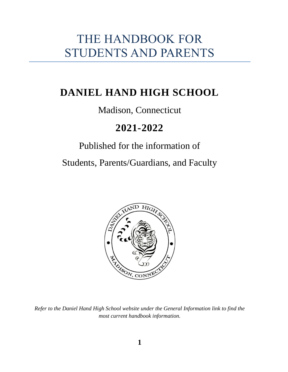# THE HANDBOOK FOR STUDENTS AND PARENTS

# **DANIEL HAND HIGH SCHOOL**

# Madison, Connecticut

# **2021-2022**

# Published for the information of

Students, Parents/Guardians, and Faculty



*Refer to the Daniel Hand High School website under the General Information link to find the most current handbook information.*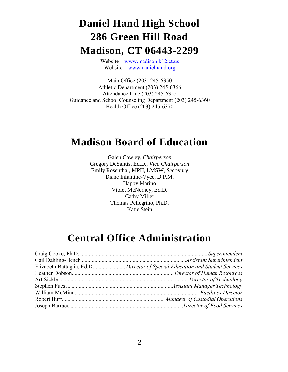# **Daniel Hand High School 286 Green Hill Road Madison, CT 06443-2299**

Website – [www.madison.k12.ct.us](http://www.madison.k12.ct.us/) Website – [www.danielhand.org](http://www.danielhand.org/)

Main Office (203) 245-6350 Athletic Department (203) 245-6366 Attendance Line (203) 245-6355 Guidance and School Counseling Department (203) 245-6360 Health Office (203) 245-6370

# **Madison Board of Education**

Galen Cawley, *Chairperson* Gregory DeSantis, Ed.D., *Vice Chairperson* Emily Rosenthal, MPH, LMSW, *Secretary* Diane Infantine-Vyce, D.P.M. Happy Marino Violet McNerney, Ed.D. Cathy Miller Thomas Pellegrino, Ph.D. Katie Stein

# **Central Office Administration**

| Elizabeth Battaglia, Ed.DDirector of Special Education and Student Services |
|-----------------------------------------------------------------------------|
|                                                                             |
|                                                                             |
|                                                                             |
|                                                                             |
|                                                                             |
|                                                                             |
|                                                                             |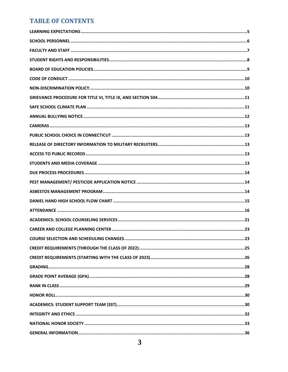# **TABLE OF CONTENTS**

| . 23 |
|------|
|      |
|      |
|      |
|      |
|      |
|      |
|      |
|      |
|      |
|      |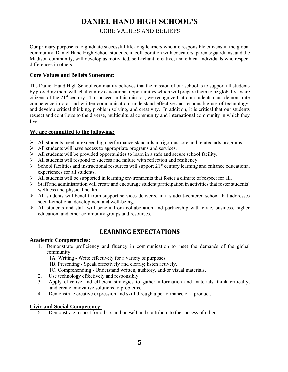# **DANIEL HAND HIGH SCHOOL'S**  CORE VALUES AND BELIEFS

Our primary purpose is to graduate successful life-long learners who are responsible citizens in the global community. Daniel Hand High School students, in collaboration with educators, parents/guardians, and the Madison community, will develop as motivated, self-reliant, creative, and ethical individuals who respect differences in others.

#### **Core Values and Beliefs Statement:**

The Daniel Hand High School community believes that the mission of our school is to support all students by providing them with challenging educational opportunities which will prepare them to be globally aware citizens of the 21st century. To succeed in this mission, we recognize that our students must demonstrate competence in oral and written communication; understand effective and responsible use of technology; and develop critical thinking, problem solving, and creativity. In addition, it is critical that our students respect and contribute to the diverse, multicultural community and international community in which they live.

#### **We are committed to the following:**

- ➢ All students meet or exceed high performance standards in rigorous core and related arts programs.
- ➢ All students will have access to appropriate programs and services.
- ➢ All students will be provided opportunities to learn in a safe and secure school facility.
- ➢ All students will respond to success and failure with reflection and resiliency.
- $\triangleright$  School facilities and instructional resources will support 21<sup>st</sup> century learning and enhance educational experiences for all students.
- ➢ All students will be supported in learning environments that foster a climate of respect for all.
- $\triangleright$  Staff and administration will create and encourage student participation in activities that foster students' wellness and physical health.
- $\triangleright$  All students will benefit from support services delivered in a student-centered school that addresses social-emotional development and well-being.
- <span id="page-4-0"></span>➢ All students and staff will benefit from collaboration and partnership with civic, business, higher education, and other community groups and resources.

# **LEARNING EXPECTATIONS**

#### **Academic Competencies:**

1. Demonstrate proficiency and fluency in communication to meet the demands of the global community:

1A. Writing - Write effectively for a variety of purposes.

1B. Presenting - Speak effectively and clearly; listen actively.

- 1C. Comprehending Understand written, auditory, and/or visual materials.
- 2. Use technology effectively and responsibly.
- 3. Apply effective and efficient strategies to gather information and materials, think critically, and create innovative solutions to problems.
- 4. Demonstrate creative expression and skill through a performance or a product.

#### **Civic and Social Competency:**

5. Demonstrate respect for others and oneself and contribute to the success of others.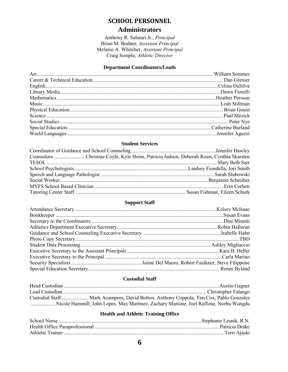### **SCHOOL PERSONNEL**

#### **Administrators**

Anthony R. Salutari Jr., Principal Brian M. Bodner, Assistant Principal Melanie A. Whitcher, Assistant Principal Craig Semple, Athletic Director

#### **Department Coordinators/Leads**

<span id="page-5-0"></span>

#### **Student Services**

| CounselorsChristine Coyle, Kyle Heins, Patricia Judson, Deborah Rossi, Cynthia Skarsten |
|-----------------------------------------------------------------------------------------|
|                                                                                         |
|                                                                                         |
|                                                                                         |
|                                                                                         |
|                                                                                         |
|                                                                                         |
|                                                                                         |

#### **Support Staff**

#### **Custodial Staff**

| Custodial Staff Mark Acampora, David Bolton, Anthony Coppola, Tim Cox, Pablo Gonzales  |  |
|----------------------------------------------------------------------------------------|--|
| Nicole Hammill, John Lopes, Max Martinez, Zachary Martone, Joel Raffone, Norbu Wangdu. |  |

#### **Health and Athletic Training Office**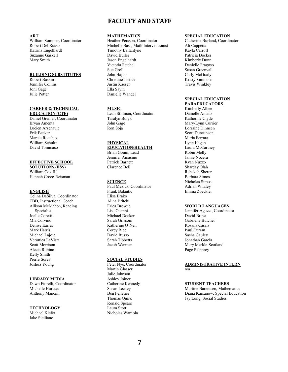### **FACULTY AND STAFF**

#### <span id="page-6-0"></span>**ART**

William Sommer, Coordinator Robert Del Russo Katrina Engelhardt Suzanne Gaskell Mary Smith

#### **BUILDING SUBSTITUTES**

Robert Baskin Jennifer Collins Joni Gage Julie Potter

#### **CAREER & TECHNICAL**

**EDUCATION (CTE)** Daniel Grenier, Coordinator Bryan Amenta Lucien Arsenault Erik Becker Marcie Rocchio William Schultz David Tommaso

#### **EFFECTIVE SCHOOL**

**SOLUTIONS (ESS)** William Cox III Hannah Croce-Reisman

#### **ENGLISH**

Celina DaSilva, Coordinator TBD, Instructional Coach Allison McMahon, Reading Specialist Joelle Coretti Mia Corvino Denise Earles Mark Harris Michael Lajoie Veronica LaVista Scott Morrison Alecia Rubino Kelly Smith Pierre Sorey Joshua Young

#### **LIBRARY MEDIA**

Dawn Fiorelli, Coordinator Michelle Hurteau Anthony Mancini

#### **TECHNOLOGY**

Michael Kiefer Jake Siciliano

#### **MATHEMATICS**

Heather Persson, Coordinator Michelle Bass, Math Interventionist Timothy Ballantyne David Buller Jason Engelhardt Victoria Fetchel Sue Groll John Hajus Christine Justice Justin Kaeser Ella Sayin Danielle Wandel

#### **MUSIC**

Leah Stillman, Coordinator Taralyn Bulyk John Gage Ron Soja

#### **PHYSICAL**

#### **EDUCATION/HEALTH** Brian Gouin, Lead

Jennifer Amasino Patrick Barnett Clarence Bell

#### **SCIENCE**

Paul Mezick, Coordinator Frank Balantic Elisa Brako Alina Britchi Erica Browne Lisa Ciampi Michael Docker Sarah Grissom Katherine O'Neil Corey Rice David Russo Sarah Tibbetts Jacob Werman

#### **SOCIAL STUDIES**

Peter Nye, Coordinator Martin Glasser Julie Johnson Ashley Joiner Catherine Kennedy Susan Leckey Ben Pelletier Thomas Quirk Ronald Spears Laura Stott Nicholas Warhola

#### **SPECIAL EDUCATION**

Catherine Burland, Coordinator Ali Cappetta Kayla Carroll Patricia Docker Kimberly Dunn Danielle Fragoso Susan Greenvall Carly McGrady Kristy Simmons Travis Winkley

#### **SPECIAL EDUCATION**

**PARAEDUCATORS** Kimberly Albee Danielle Amato Katherine Clyde Mary-Lynn Currier Lorraine Dinneen Scott Duncanson Maria Ferrara Lynn Hagan Laura McCartney Robin Melly Jamie Nocera Ryan Nuzzo Sharday Olah Rebekah Sherer Barbara Simos Nicholas Simos Adrian Whaley Emma Zoeckler

#### **WORLD LANGUAGES**

Jennifer Aguzzi, Coordinator David Brine Gabrielle Butcher Rosana Casais Paul Curran Sasha Gauley Jonathan Garcia Mary Merkle-Scotland Page Pelphrey

#### **ADMINISTRATIVE INTERN** n/a

#### **STUDENT TEACHERS**

Martine Barentsen, Mathematics Diana Karsanow, Special Education Jay Long, Social Studies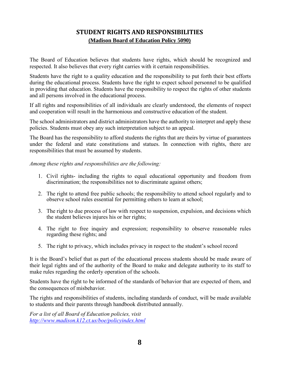# **STUDENT RIGHTS AND RESPONSIBILITIES (Madison Board of Education Policy 5090)**

<span id="page-7-0"></span>The Board of Education believes that students have rights, which should be recognized and respected. It also believes that every right carries with it certain responsibilities.

Students have the right to a quality education and the responsibility to put forth their best efforts during the educational process. Students have the right to expect school personnel to be qualified in providing that education. Students have the responsibility to respect the rights of other students and all persons involved in the educational process.

If all rights and responsibilities of all individuals are clearly understood, the elements of respect and cooperation will result in the harmonious and constructive education of the student.

The school administrators and district administrators have the authority to interpret and apply these policies. Students must obey any such interpretation subject to an appeal.

The Board has the responsibility to afford students the rights that are theirs by virtue of guarantees under the federal and state constitutions and statues. In connection with rights, there are responsibilities that must be assumed by students.

*Among these rights and responsibilities are the following:*

- 1. Civil rights- including the rights to equal educational opportunity and freedom from discrimination; the responsibilities not to discriminate against others;
- 2. The right to attend free public schools; the responsibility to attend school regularly and to observe school rules essential for permitting others to learn at school;
- 3. The right to due process of law with respect to suspension, expulsion, and decisions which the student believes injures his or her rights;
- 4. The right to free inquiry and expression; responsibility to observe reasonable rules regarding these rights; and
- 5. The right to privacy, which includes privacy in respect to the student's school record

It is the Board's belief that as part of the educational process students should be made aware of their legal rights and of the authority of the Board to make and delegate authority to its staff to make rules regarding the orderly operation of the schools.

Students have the right to be informed of the standards of behavior that are expected of them, and the consequences of misbehavior.

The rights and responsibilities of students, including standards of conduct, will be made available to students and their parents through handbook distributed annually.

*For a list of all Board of Education policies, visit <http://www.madison.k12.ct.us/boe/policyindex.html>*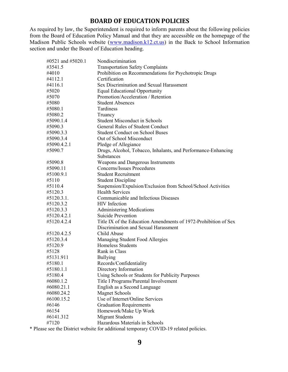## **BOARD OF EDUCATION POLICIES**

<span id="page-8-0"></span>As required by law, the Superintendent is required to inform parents about the following policies from the Board of Education Policy Manual and that they are accessible on the homepage of the Madison Public Schools website [\(www.madison.k12.ct.us\)](http://www.madison.k12.ct.us/) in the Back to School Information section and under the Board of Education heading.

| #0521 and #5020.1 | Nondiscrimination                                                                  |
|-------------------|------------------------------------------------------------------------------------|
| #3541.5           | <b>Transportation Safety Complaints</b>                                            |
| #4010             | Prohibition on Recommendations for Psychotropic Drugs                              |
| #4112.1           | Certification                                                                      |
| #4116.1           | Sex Discrimination and Sexual Harassment                                           |
| #5020             | <b>Equal Educational Opportunity</b>                                               |
| #5070             | Promotion/Acceleration / Retention                                                 |
| #5080             | <b>Student Absences</b>                                                            |
| #5080.1           | Tardiness                                                                          |
| #5080.2           | Truancy                                                                            |
| #5090.1.4         | <b>Student Misconduct in Schools</b>                                               |
| #5090.3           | <b>General Rules of Student Conduct</b>                                            |
|                   | <b>Student Conduct on School Buses</b>                                             |
| #5090.3.3         |                                                                                    |
| #5090.3.4         | Out of School Misconduct                                                           |
| #5090.4.2.1       | Pledge of Allegiance                                                               |
| #5090.7           | Drugs, Alcohol, Tobacco, Inhalants, and Performance-Enhancing<br><b>Substances</b> |
| #5090.8           | Weapons and Dangerous Instruments                                                  |
| #5090.11          | Concerns/Issues Procedures                                                         |
| #5100.9.1         | <b>Student Recruitment</b>                                                         |
| #5110             | <b>Student Discipline</b>                                                          |
| #5110.4           | Suspension/Expulsion/Exclusion from School/School Activities                       |
| #5120.3           | <b>Health Services</b>                                                             |
| #5120.3.1.        | <b>Communicable and Infectious Diseases</b>                                        |
| #5120.3.2         | <b>HIV</b> Infection                                                               |
| #5120.3.3         | <b>Administering Medications</b>                                                   |
| #5120.4.2.1       | Suicide Prevention                                                                 |
| #5120.4.2.4       | Title IX of the Education Amendments of 1972-Prohibition of Sex                    |
|                   | Discrimination and Sexual Harassment                                               |
| #5120.4.2.5       | Child Abuse                                                                        |
| #5120.3.4         | Managing Student Food Allergies                                                    |
| #5120.9           | <b>Homeless Students</b>                                                           |
| #5128             | Rank in Class                                                                      |
| #5131.911         | <b>Bullying</b>                                                                    |
| #5180.1           | Records/Confidentiality                                                            |
| #5180.1.1         | Directory Information                                                              |
| #5180.4           | Using Schools or Students for Publicity Purposes                                   |
| #6080.1.2         | Title I Programs/Parental Involvement                                              |
| #6080.21.1        | English as a Second Language                                                       |
| #6080.24.2        | <b>Magnet Schools</b>                                                              |
| #6100.15.2        | Use of Internet/Online Services                                                    |
| #6146             | <b>Graduation Requirements</b>                                                     |
| #6154             | Homework/Make Up Work                                                              |
| #6141.312         | <b>Migrant Students</b>                                                            |
| #7120             | Hazardous Materials in Schools                                                     |
|                   |                                                                                    |

\* Please see the District website for additional temporary COVID-19 related policies.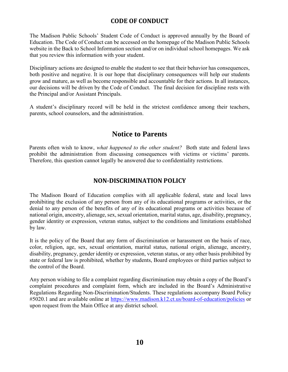# **CODE OF CONDUCT**

<span id="page-9-0"></span>The Madison Public Schools' Student Code of Conduct is approved annually by the Board of Education. The Code of Conduct can be accessed on the homepage of the Madison Public Schools website in the Back to School Information section and/or on individual school homepages. We ask that you review this information with your student.

Disciplinary actions are designed to enable the student to see that their behavior has consequences, both positive and negative. It is our hope that disciplinary consequences will help our students grow and mature, as well as become responsible and accountable for their actions. In all instances, our decisions will be driven by the Code of Conduct. The final decision for discipline rests with the Principal and/or Assistant Principals.

A student's disciplinary record will be held in the strictest confidence among their teachers, parents, school counselors, and the administration.

# **Notice to Parents**

Parents often wish to know, *what happened to the other student?* Both state and federal laws prohibit the administration from discussing consequences with victims or victims' parents. Therefore, this question cannot legally be answered due to confidentiality restrictions.

# **NON-DISCRIMINATION POLICY**

<span id="page-9-1"></span>The Madison Board of Education complies with all applicable federal, state and local laws prohibiting the exclusion of any person from any of its educational programs or activities, or the denial to any person of the benefits of any of its educational programs or activities because of national origin, ancestry, alienage, sex, sexual orientation, marital status, age, disability, pregnancy, gender identity or expression, veteran status, subject to the conditions and limitations established by law.

It is the policy of the Board that any form of discrimination or harassment on the basis of race, color, religion, age, sex, sexual orientation, marital status, national origin, alienage, ancestry, disability, pregnancy, gender identity or expression, veteran status, or any other basis prohibited by state or federal law is prohibited, whether by students, Board employees or third parties subject to the control of the Board.

Any person wishing to file a complaint regarding discrimination may obtain a copy of the Board's complaint procedures and complaint form, which are included in the Board's Administrative Regulations Regarding Non-Discrimination/Students. These regulations accompany Board Policy #5020.1 and are available online at<https://www.madison.k12.ct.us/board-of-education/policies> or upon request from the Main Office at any district school.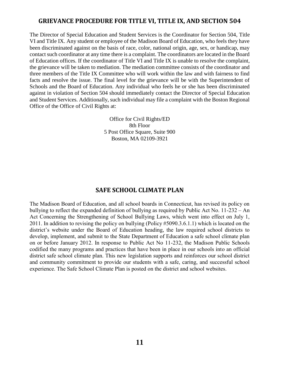## <span id="page-10-0"></span>**GRIEVANCE PROCEDURE FOR TITLE VI, TITLE IX, AND SECTION 504**

The Director of Special Education and Student Services is the Coordinator for Section 504, Title VI and Title IX. Any student or employee of the Madison Board of Education, who feels they have been discriminated against on the basis of race, color, national origin, age, sex, or handicap, may contact such coordinator at any time there is a complaint. The coordinators are located in the Board of Education offices. If the coordinator of Title VI and Title IX is unable to resolve the complaint, the grievance will be taken to mediation. The mediation committee consists of the coordinator and three members of the Title IX Committee who will work within the law and with fairness to find facts and resolve the issue. The final level for the grievance will be with the Superintendent of Schools and the Board of Education. Any individual who feels he or she has been discriminated against in violation of Section 504 should immediately contact the Director of Special Education and Student Services. Additionally, such individual may file a complaint with the Boston Regional Office of the Office of Civil Rights at:

> Office for Civil Rights/ED 8th Floor 5 Post Office Square, Suite 900 Boston, MA 02109-3921

#### **SAFE SCHOOL CLIMATE PLAN**

<span id="page-10-1"></span>The Madison Board of Education, and all school boards in Connecticut, has revised its policy on bullying to reflect the expanded definition of bullying as required by Public Act No. 11-232 – An Act Concerning the Strengthening of School Bullying Laws, which went into effect on July 1, 2011. In addition to revising the policy on bullying (Policy #5090.3.6.1.1) which is located on the district's website under the Board of Education heading, the law required school districts to develop, implement, and submit to the State Department of Education a safe school climate plan on or before January 2012. In response to Public Act No 11-232, the Madison Public Schools codified the many programs and practices that have been in place in our schools into an official district safe school climate plan. This new legislation supports and reinforces our school district and community commitment to provide our students with a safe, caring, and successful school experience. The Safe School Climate Plan is posted on the district and school websites.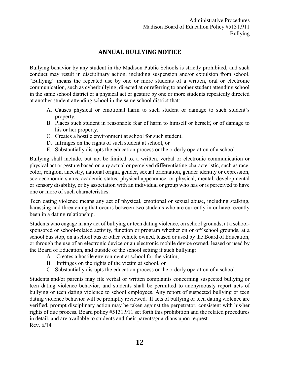# **ANNUAL BULLYING NOTICE**

<span id="page-11-0"></span>Bullying behavior by any student in the Madison Public Schools is strictly prohibited, and such conduct may result in disciplinary action, including suspension and/or expulsion from school. "Bullying" means the repeated use by one or more students of a written, oral or electronic communication, such as cyberbullying, directed at or referring to another student attending school in the same school district or a physical act or gesture by one or more students repeatedly directed at another student attending school in the same school district that:

- A. Causes physical or emotional harm to such student or damage to such student's property,
- B. Places such student in reasonable fear of harm to himself or herself, or of damage to his or her property,
- C. Creates a hostile environment at school for such student,
- D. Infringes on the rights of such student at school, or
- E. Substantially disrupts the education process or the orderly operation of a school.

Bullying shall include, but not be limited to, a written, verbal or electronic communication or physical act or gesture based on any actual or perceived differentiating characteristic, such as race, color, religion, ancestry, national origin, gender, sexual orientation, gender identity or expression, socioeconomic status, academic status, physical appearance, or physical, mental, developmental or sensory disability, or by association with an individual or group who has or is perceived to have one or more of such characteristics.

Teen dating violence means any act of physical, emotional or sexual abuse, including stalking, harassing and threatening that occurs between two students who are currently in or have recently been in a dating relationship.

Students who engage in any act of bullying or teen dating violence, on school grounds, at a schoolsponsored or school-related activity, function or program whether on or off school grounds, at a school bus stop, on a school bus or other vehicle owned, leased or used by the Board of Education, or through the use of an electronic device or an electronic mobile device owned, leased or used by the Board of Education, and outside of the school setting if such bullying:

- A. Creates a hostile environment at school for the victim,
- B. Infringes on the rights of the victim at school, or
- C. Substantially disrupts the education process or the orderly operation of a school.

Students and/or parents may file verbal or written complaints concerning suspected bullying or teen dating violence behavior, and students shall be permitted to anonymously report acts of bullying or teen dating violence to school employees. Any report of suspected bullying or teen dating violence behavior will be promptly reviewed. If acts of bullying or teen dating violence are verified, prompt disciplinary action may be taken against the perpetrator, consistent with his/her rights of due process. Board policy #5131.911 set forth this prohibition and the related procedures in detail, and are available to students and their parents/guardians upon request. Rev. 6/14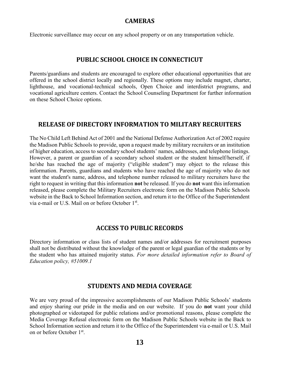#### **CAMERAS**

<span id="page-12-1"></span><span id="page-12-0"></span>Electronic surveillance may occur on any school property or on any transportation vehicle.

#### **PUBLIC SCHOOL CHOICE IN CONNECTICUT**

Parents/guardians and students are encouraged to explore other educational opportunities that are offered in the school district locally and regionally. These options may include magnet, charter, lighthouse, and vocational-technical schools, Open Choice and interdistrict programs, and vocational agriculture centers. Contact the School Counseling Department for further information on these School Choice options.

#### <span id="page-12-2"></span>**RELEASE OF DIRECTORY INFORMATION TO MILITARY RECRUITERS**

The No Child Left Behind Act of 2001 and the National Defense Authorization Act of 2002 require the Madison Public Schools to provide, upon a request made by military recruiters or an institution of higher education, access to secondary school students' names, addresses, and telephone listings. However, a parent or guardian of a secondary school student or the student himself/herself, if he/she has reached the age of majority ("eligible student") may object to the release this information. Parents, guardians and students who have reached the age of majority who do not want the student's name, address, and telephone number released to military recruiters have the right to request in writing that this information **not** be released. If you do **not** want this information released, please complete the Military Recruiters electronic form on the Madison Public Schools website in the Back to School Information section, and return it to the Office of the Superintendent via e-mail or U.S. Mail on or before October 1st.

#### **ACCESS TO PUBLIC RECORDS**

<span id="page-12-3"></span>Directory information or class lists of student names and/or addresses for recruitment purposes shall not be distributed without the knowledge of the parent or legal guardian of the students or by the student who has attained majority status. *For more detailed information refer to Board of Education policy, #51009.1*

#### **STUDENTS AND MEDIA COVERAGE**

<span id="page-12-4"></span>We are very proud of the impressive accomplishments of our Madison Public Schools' students and enjoy sharing our pride in the media and on our website. If you do **not** want your child photographed or videotaped for public relations and/or promotional reasons, please complete the Media Coverage Refusal electronic form on the Madison Public Schools website in the Back to School Information section and return it to the Office of the Superintendent via e-mail or U.S. Mail on or before October 1<sup>st</sup>.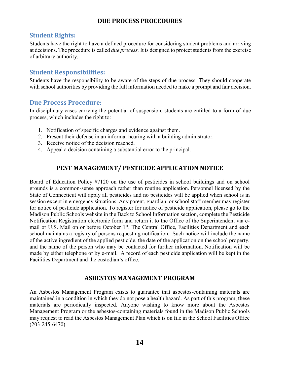# **DUE PROCESS PROCEDURES**

## <span id="page-13-0"></span>**Student Rights:**

Students have the right to have a defined procedure for considering student problems and arriving at decisions. The procedure is called *due process.* It is designed to protect students from the exercise of arbitrary authority.

## **Student Responsibilities:**

Students have the responsibility to be aware of the steps of due process. They should cooperate with school authorities by providing the full information needed to make a prompt and fair decision.

#### **Due Process Procedure:**

In disciplinary cases carrying the potential of suspension, students are entitled to a form of due process, which includes the right to:

- 1. Notification of specific charges and evidence against them.
- 2. Present their defense in an informal hearing with a building administrator.
- 3. Receive notice of the decision reached.
- <span id="page-13-1"></span>4. Appeal a decision containing a substantial error to the principal.

# **PEST MANAGEMENT/ PESTICIDE APPLICATION NOTICE**

Board of Education Policy #7120 on the use of pesticides in school buildings and on school grounds is a common-sense approach rather than routine application. Personnel licensed by the State of Connecticut will apply all pesticides and no pesticides will be applied when school is in session except in emergency situations. Any parent, guardian, or school staff member may register for notice of pesticide application. To register for notice of pesticide application, please go to the Madison Public Schools website in the Back to School Information section, complete the Pesticide Notification Registration electronic form and return it to the Office of the Superintendent via email or U.S. Mail on or before October 1st. The Central Office, Facilities Department and **e**ach school maintains a registry of persons requesting notification. Such notice will include the name of the active ingredient of the applied pesticide, the date of the application on the school property, and the name of the person who may be contacted for further information. Notification will be made by either telephone or by e-mail. A record of each pesticide application will be kept in the Facilities Department and the custodian's office.

### **ASBESTOS MANAGEMENT PROGRAM**

<span id="page-13-2"></span>An Asbestos Management Program exists to guarantee that asbestos-containing materials are maintained in a condition in which they do not pose a health hazard. As part of this program, these materials are periodically inspected. Anyone wishing to know more about the Asbestos Management Program or the asbestos-containing materials found in the Madison Public Schools may request to read the Asbestos Management Plan which is on file in the School Facilities Office (203-245-6470).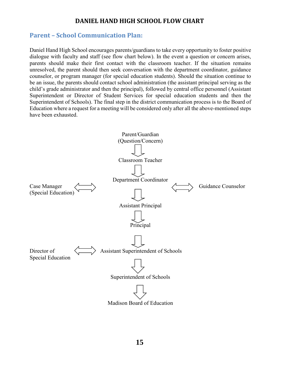# **DANIEL HAND HIGH SCHOOL FLOW CHART**

## <span id="page-14-0"></span>**Parent – School Communication Plan:**

Daniel Hand High School encourages parents/guardians to take every opportunity to foster positive dialogue with faculty and staff (see flow chart below). In the event a question or concern arises, parents should make their first contact with the classroom teacher. If the situation remains unresolved, the parent should then seek conversation with the department coordinator, guidance counselor, or program manager (for special education students). Should the situation continue to be an issue, the parents should contact school administration (the assistant principal serving as the child's grade administrator and then the principal), followed by central office personnel (Assistant Superintendent or Director of Student Services for special education students and then the Superintendent of Schools). The final step in the district communication process is to the Board of Education where a request for a meeting will be considered only after all the above-mentioned steps have been exhausted.

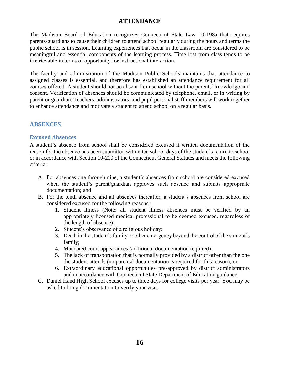## **ATTENDANCE**

<span id="page-15-0"></span>The Madison Board of Education recognizes Connecticut State Law 10-198a that requires parents/guardians to cause their children to attend school regularly during the hours and terms the public school is in session. Learning experiences that occur in the classroom are considered to be meaningful and essential components of the learning process. Time lost from class tends to be irretrievable in terms of opportunity for instructional interaction.

The faculty and administration of the Madison Public Schools maintains that attendance to assigned classes is essential, and therefore has established an attendance requirement for all courses offered. A student should not be absent from school without the parents' knowledge and consent. Verification of absences should be communicated by telephone, email, or in writing by parent or guardian. Teachers, administrators, and pupil personal staff members will work together to enhance attendance and motivate a student to attend school on a regular basis.

# **ABSENCES**

#### **Excused Absences**

A student's absence from school shall be considered excused if written documentation of the reason for the absence has been submitted within ten school days of the student's return to school or in accordance with Section 10-210 of the Connecticut General Statutes and meets the following criteria:

- A. For absences one through nine, a student's absences from school are considered excused when the student's parent/guardian approves such absence and submits appropriate documentation; and
- B. For the tenth absence and all absences thereafter, a student's absences from school are considered excused for the following reasons:
	- 1. Student illness (Note: all student illness absences must be verified by an appropriately licensed medical professional to be deemed excused, regardless of the length of absence);
	- 2. Student's observance of a religious holiday;
	- 3. Death in the student's family or other emergency beyond the control of the student's family;
	- 4. Mandated court appearances (additional documentation required);
	- 5. The lack of transportation that is normally provided by a district other than the one the student attends (no parental documentation is required for this reason); or
	- 6. Extraordinary educational opportunities pre-approved by district administrators and in accordance with Connecticut State Department of Education guidance.
- C. Daniel Hand High School excuses up to three days for college visits per year. You may be asked to bring documentation to verify your visit.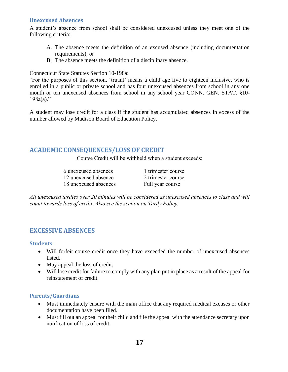#### **Unexcused Absences**

A student's absence from school shall be considered unexcused unless they meet one of the following criteria:

- A. The absence meets the definition of an excused absence (including documentation requirements); or
- B. The absence meets the definition of a disciplinary absence.

Connecticut State Statutes Section 10-198a:

"For the purposes of this section, 'truant' means a child age five to eighteen inclusive, who is enrolled in a public or private school and has four unexcused absences from school in any one month or ten unexcused absences from school in any school year CONN. GEN. STAT. §10-  $198a(a)$ ."

A student may lose credit for a class if the student has accumulated absences in excess of the number allowed by Madison Board of Education Policy.

# **ACADEMIC CONSEQUENCES/LOSS OF CREDIT**

Course Credit will be withheld when a student exceeds:

| 6 unexcused absences  |  |
|-----------------------|--|
| 12 unexcused absence  |  |
| 18 unexcused absences |  |

1 trimester course 2 trimester course Full year course

*All unexcused tardies over 20 minutes will be considered as unexcused absences to class and will count towards loss of credit. Also see the section on Tardy Policy.*

# **EXCESSIVE ABSENCES**

#### **Students**

- Will forfeit course credit once they have exceeded the number of unexcused absences listed.
- May appeal the loss of credit.
- Will lose credit for failure to comply with any plan put in place as a result of the appeal for reinstatement of credit.

### **Parents/Guardians**

- Must immediately ensure with the main office that any required medical excuses or other documentation have been filed.
- Must fill out an appeal for their child and file the appeal with the attendance secretary upon notification of loss of credit.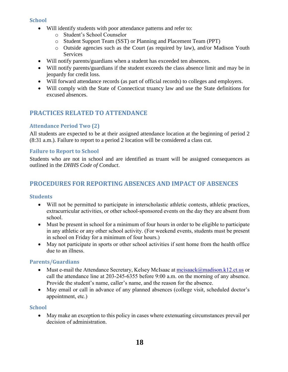#### **School**

- Will identify students with poor attendance patterns and refer to:
	- o Student's School Counselor
	- o Student Support Team (SST) or Planning and Placement Team (PPT)
	- o Outside agencies such as the Court (as required by law), and/or Madison Youth Services
- Will notify parents/guardians when a student has exceeded ten absences.
- Will notify parents/guardians if the student exceeds the class absence limit and may be in jeopardy for credit loss.
- Will forward attendance records (as part of official records) to colleges and employers.
- Will comply with the State of Connecticut truancy law and use the State definitions for excused absences.

# **PRACTICES RELATED TO ATTENDANCE**

## **Attendance Period Two (2)**

All students are expected to be at their assigned attendance location at the beginning of period 2 (8:31 a.m.). Failure to report to a period 2 location will be considered a class cut.

### **Failure to Report to School**

Students who are not in school and are identified as truant will be assigned consequences as outlined in the *DHHS Code of Conduct*.

# **PROCEDURES FOR REPORTING ABSENCES AND IMPACT OF ABSENCES**

### **Students**

- Will not be permitted to participate in interscholastic athletic contests, athletic practices, extracurricular activities, or other school-sponsored events on the day they are absent from school.
- Must be present in school for a minimum of four hours in order to be eligible to participate in any athletic or any other school activity. (For weekend events, students must be present in school on Friday for a minimum of four hours.)
- May not participate in sports or other school activities if sent home from the health office due to an illness.

### **Parents/Guardians**

- Must e-mail the Attendance Secretary, Kelsey McIsaac at [mcisaack@madison.k12.ct.us](mailto:mcisaack@madison.k12.ct.us) or call the attendance line at 203-245-6355 before 9:00 a.m. on the morning of any absence. Provide the student's name, caller's name, and the reason for the absence.
- May email or call in advance of any planned absences (college visit, scheduled doctor's appointment, etc.)

### **School**

• May make an exception to this policy in cases where extenuating circumstances prevail per decision of administration.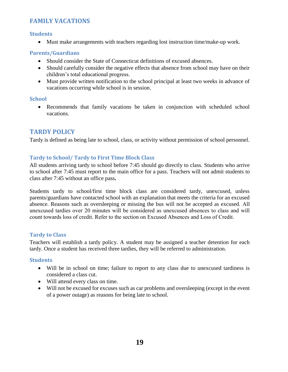# **FAMILY VACATIONS**

#### **Students**

• Must make arrangements with teachers regarding lost instruction time/make-up work.

#### **Parents/Guardians**

- Should consider the State of Connecticut definitions of excused absences.
- Should carefully consider the negative effects that absence from school may have on their children's total educational progress.
- Must provide written notification to the school principal at least two weeks in advance of vacations occurring while school is in session.

#### **School**

• Recommends that family vacations be taken in conjunction with scheduled school vacations.

## **TARDY POLICY**

Tardy is defined as being late to school, class, or activity without permission of school personnel.

#### **Tardy to School/ Tardy to First Time Block Class**

All students arriving tardy to school before 7:45 should go directly to class. Students who arrive to school after 7:45 must report to the main office for a pass. Teachers will not admit students to class after 7:45 without an office pass**.** 

Students tardy to school/first time block class are considered tardy, unexcused, unless parents/guardians have contacted school with an explanation that meets the criteria for an excused absence. Reasons such as oversleeping or missing the bus will not be accepted as excused. All unexcused tardies over 20 minutes will be considered as unexcused absences to class and will count towards loss of credit. Refer to the section on Excused Absences and Loss of Credit.

#### **Tardy to Class**

Teachers will establish a tardy policy. A student may be assigned a teacher detention for each tardy. Once a student has received three tardies, they will be referred to administration.

#### **Students**

- Will be in school on time; failure to report to any class due to unexcused tardiness is considered a class cut.
- Will attend every class on time.
- Will not be excused for excuses such as car problems and oversleeping (except in the event of a power outage) as reasons for being late to school.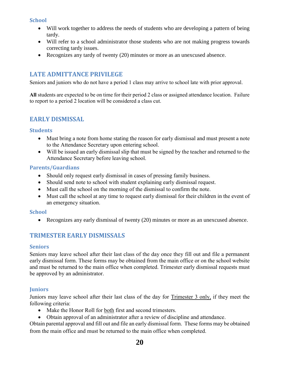#### **School**

- Will work together to address the needs of students who are developing a pattern of being tardy.
- Will refer to a school administrator those students who are not making progress towards correcting tardy issues.
- Recognizes any tardy of twenty (20) minutes or more as an unexcused absence.

# **LATE ADMITTANCE PRIVILEGE**

Seniors and juniors who do not have a period 1 class may arrive to school late with prior approval.

**All** students are expected to be on time for their period 2 class or assigned attendance location. Failure to report to a period 2 location will be considered a class cut.

# **EARLY DISMISSAL**

#### **Students**

- Must bring a note from home stating the reason for early dismissal and must present a note to the Attendance Secretary upon entering school.
- Will be issued an early dismissal slip that must be signed by the teacher and returned to the Attendance Secretary before leaving school.

#### **Parents/Guardians**

- Should only request early dismissal in cases of pressing family business.
- Should send note to school with student explaining early dismissal request.
- Must call the school on the morning of the dismissal to confirm the note.
- Must call the school at any time to request early dismissal for their children in the event of an emergency situation.

#### **School**

• Recognizes any early dismissal of twenty (20) minutes or more as an unexcused absence.

# **TRIMESTER EARLY DISMISSALS**

#### **Seniors**

Seniors may leave school after their last class of the day once they fill out and file a permanent early dismissal form. These forms may be obtained from the main office or on the school website and must be returned to the main office when completed. Trimester early dismissal requests must be approved by an administrator.

#### **Juniors**

Juniors may leave school after their last class of the day for Trimester 3 only, if they meet the following criteria:

- Make the Honor Roll for both first and second trimesters.
- Obtain approval of an administrator after a review of discipline and attendance.

Obtain parental approval and fill out and file an early dismissal form. These forms may be obtained from the main office and must be returned to the main office when completed.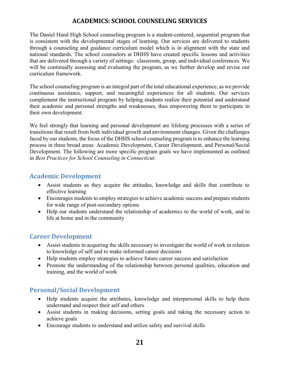# **ACADEMICS: SCHOOL COUNSELING SERVICES**

<span id="page-20-0"></span>The Daniel Hand High School counseling program is a student-centered, sequential program that is consistent with the developmental stages of learning. Our services are delivered to students through a counseling and guidance curriculum model which is in alignment with the state and national standards. The school counselors at DHHS have created specific lessons and activities that are delivered through a variety of settings: classroom, group, and individual conferences. We will be continually assessing and evaluating the program, as we further develop and revise our curriculum framework.

The school counseling program is an integral part of the total educational experience, as we provide continuous assistance, support, and meaningful experiences for all students. Our services complement the instructional program by helping students realize their potential and understand their academic and personal strengths and weaknesses, thus empowering them to participate in their own development.

We feel strongly that learning and personal development are lifelong processes with a series of transitions that result from both individual growth and environment changes. Given the challenges faced by our students, the focus of the DHHS school counseling program is to enhance the learning process in three broad areas: Academic Development, Career Development, and Personal/Social Development. The following are more specific program goals we have implemented as outlined in *Best Practices for School Counseling in Connecticut:*

# **Academic Development**

- Assist students as they acquire the attitudes, knowledge and skills that contribute to effective learning
- Encourages students to employ strategies to achieve academic success and prepare students for wide range of post-secondary options
- Help our students understand the relationship of academics to the world of work, and to life at home and in the community

# **Career Development**

- Assist students in acquiring the skills necessary to investigate the world of work in relation to knowledge of self and to make informed career decisions
- Help students employ strategies to achieve future career success and satisfaction
- Promote the understanding of the relationship between personal qualities, education and training, and the world of work

# **Personal/Social Development**

- Help students acquire the attributes, knowledge and interpersonal skills to help them understand and respect their self and others
- Assist students in making decisions, setting goals and taking the necessary action to achieve goals
- Encourage students to understand and utilize safety and survival skills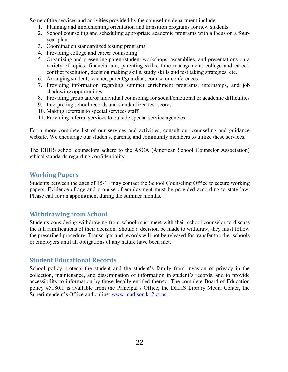Some of the services and activities provided by the counseling department include:

- 1. Planning and implementing orientation and transition programs for new students
- 2. School counseling and scheduling appropriate academic programs with a focus on a fouryear plan
- 3. Coordination standardized testing programs
- 4. Providing college and career counseling
- 5. Organizing and presenting parent/student workshops, assemblies, and presentations on a variety of topics: financial aid, parenting skills, time management, college and career, conflict resolution, decision making skills, study skills and test taking strategies, etc.
- 6. Arranging student, teacher, parent/guardian, counselor conferences
- 7. Providing information regarding summer enrichment programs, internships, and job shadowing opportunities
- 8. Providing group and/or individual counseling for social/emotional or academic difficulties
- 9. Interpreting school records and standardized test scores
- 10. Making referrals to special services staff
- 11. Providing referral services to outside special service agencies

For a more complete list of our services and activities, consult our counseling and guidance website. We encourage our students, parents, and community members to utilize these services.

The DHHS school counselors adhere to the ASCA (American School Counselor Association) ethical standards regarding confidentiality.

## **Working Papers**

Students between the ages of 15-18 may contact the School Counseling Office to secure working papers. Evidence of age and promise of employment must be provided according to state law. Please call for an appointment during the summer months.

# **Withdrawing from School**

Students considering withdrawing from school must meet with their school counselor to discuss the full ramifications of their decision. Should a decision be made to withdraw, they must follow the prescribed procedure. Transcripts and records will not be released for transfer to other schools or employers until all obligations of any nature have been met.

# **Student Educational Records**

School policy protects the student and the student's family from invasion of privacy in the collection, maintenance, and dissemination of information in student's records, and to provide accessibility to information by those legally entitled thereto. The complete Board of Education policy #5180.1 is available from the Principal's Office, the DHHS Library Media Center, the Superintendent's Office and online: [www.madison.k12.ct.us.](http://www.madison.k12.ct.us/)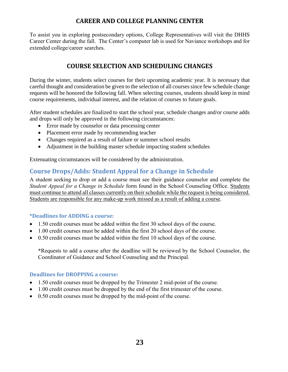# **CAREER AND COLLEGE PLANNING CENTER**

<span id="page-22-1"></span><span id="page-22-0"></span>To assist you in exploring postsecondary options, College Representatives will visit the DHHS Career Center during the fall. The Center's computer lab is used for Naviance workshops and for extended college/career searches.

# **COURSE SELECTION AND SCHEDULING CHANGES**

During the winter, students select courses for their upcoming academic year. It is necessary that careful thought and consideration be given to the selection of all courses since few schedule change requests will be honored the following fall. When selecting courses, students should keep in mind course requirements, individual interest, and the relation of courses to future goals.

After student schedules are finalized to start the school year, schedule changes and/or course adds and drops will only be approved in the following circumstances:

- Error made by counselor or data processing center
- Placement error made by recommending teacher
- Changes required as a result of failure or summer school results
- Adjustment in the building master schedule impacting student schedules

Extenuating circumstances will be considered by the administration.

# **Course Drops/Adds: Student Appeal for a Change in Schedule**

A student seeking to drop or add a course must see their guidance counselor and complete the *Student Appeal for a Change in Schedule* form found in the School Counseling Office. Students must continue to attend all classes currently on their schedule while the request is being considered. Students are responsible for any make-up work missed as a result of adding a course.

#### **\*Deadlines for ADDING a course:**

- 1.50 credit courses must be added within the first 30 school days of the course.
- 1.00 credit courses must be added within the first 20 school days of the course.
- 0.50 credit courses must be added within the first 10 school days of the course.

**\***Requests to add a course after the deadline will be reviewed by the School Counselor, the Coordinator of Guidance and School Counseling and the Principal.

#### **Deadlines for DROPPING a course:**

- 1.50 credit courses must be dropped by the Trimester 2 mid-point of the course.
- 1.00 credit courses must be dropped by the end of the first trimester of the course.
- 0.50 credit courses must be dropped by the mid-point of the course.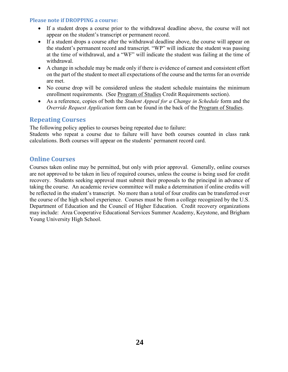#### **Please note if DROPPING a course:**

- If a student drops a course prior to the withdrawal deadline above, the course will not appear on the student's transcript or permanent record.
- If a student drops a course after the withdrawal deadline above, the course will appear on the student's permanent record and transcript. "WP" will indicate the student was passing at the time of withdrawal, and a "WF" will indicate the student was failing at the time of withdrawal.
- A change in schedule may be made only if there is evidence of earnest and consistent effort on the part of the student to meet all expectations of the course and the terms for an override are met.
- No course drop will be considered unless the student schedule maintains the minimum enrollment requirements. (See Program of Studies Credit Requirements section).
- As a reference, copies of both the *Student Appeal for a Change in Schedule* form and the *Override Request Application* form can be found in the back of the <u>Program of Studies</u>.

# **Repeating Courses**

The following policy applies to courses being repeated due to failure:

Students who repeat a course due to failure will have both courses counted in class rank calculations. Both courses will appear on the students' permanent record card.

# **Online Courses**

Courses taken online may be permitted, but only with prior approval. Generally, online courses are not approved to be taken in lieu of required courses, unless the course is being used for credit recovery. Students seeking approval must submit their proposals to the principal in advance of taking the course. An academic review committee will make a determination if online credits will be reflected in the student's transcript. No more than a total of four credits can be transferred over the course of the high school experience. Courses must be from a college recognized by the U.S. Department of Education and the Council of Higher Education. Credit recovery organizations may include: Area Cooperative Educational Services Summer Academy, Keystone, and Brigham Young University High School.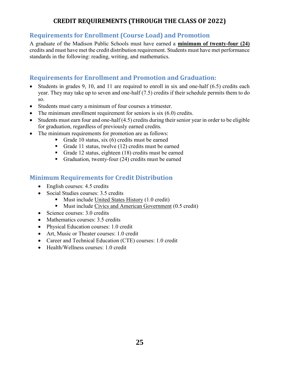# **CREDIT REQUIREMENTS (THROUGH THE CLASS OF 2022)**

# <span id="page-24-0"></span>**Requirements for Enrollment (Course Load) and Promotion**

A graduate of the Madison Public Schools must have earned a **minimum of twenty-four (24)** credits and must have met the credit distribution requirement. Students must have met performance standards in the following: reading, writing, and mathematics.

# **Requirements for Enrollment and Promotion and Graduation:**

- Students in grades 9, 10, and 11 are required to enroll in six and one-half (6.5) credits each year. They may take up to seven and one-half (7.5) credits if their schedule permits them to do so.
- Students must carry a minimum of four courses a trimester.
- The minimum enrollment requirement for seniors is  $s$ ix  $(6.0)$  credits.
- Students must earn four and one-half  $(4.5)$  credits during their senior year in order to be eligible for graduation, regardless of previously earned credits.
- The minimum requirements for promotion are as follows:
	- **•** Grade 10 status, six  $(6)$  credits must be earned
	- Grade 11 status, twelve (12) credits must be earned
	- Grade 12 status, eighteen  $(18)$  credits must be earned
	- Graduation, twenty-four (24) credits must be earned

# **Minimum Requirements for Credit Distribution**

- English courses: 4.5 credits
- Social Studies courses: 3.5 credits
	- Must include United States History (1.0 credit)
	- Must include Civics and American Government (0.5 credit)
- Science courses: 3.0 credits
- Mathematics courses: 3.5 credits
- Physical Education courses: 1.0 credit
- Art, Music or Theater courses: 1.0 credit
- Career and Technical Education (CTE) courses: 1.0 credit
- Health/Wellness courses: 1.0 credit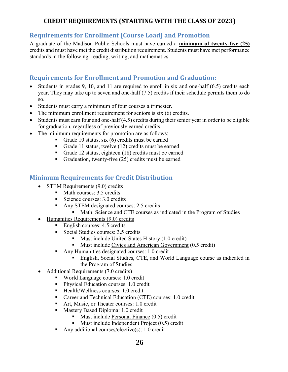# **CREDIT REQUIREMENTS (STARTING WITH THE CLASS OF 2023)**

# <span id="page-25-0"></span>**Requirements for Enrollment (Course Load) and Promotion**

A graduate of the Madison Public Schools must have earned a **minimum of twenty-five (25)** credits and must have met the credit distribution requirement. Students must have met performance standards in the following: reading, writing, and mathematics.

# **Requirements for Enrollment and Promotion and Graduation:**

- Students in grades 9, 10, and 11 are required to enroll in six and one-half (6.5) credits each year. They may take up to seven and one-half (7.5) credits if their schedule permits them to do so.
- Students must carry a minimum of four courses a trimester.
- The minimum enrollment requirement for seniors is six (6) credits.
- Students must earn four and one-half (4.5) credits during their senior year in order to be eligible for graduation, regardless of previously earned credits.
- The minimum requirements for promotion are as follows:
	- **•** Grade 10 status, six  $(6)$  credits must be earned
	- Grade 11 status, twelve (12) credits must be earned
	- Grade 12 status, eighteen  $(18)$  credits must be earned
	- Graduation, twenty-five  $(25)$  credits must be earned

# **Minimum Requirements for Credit Distribution**

- STEM Requirements (9.0) credits
	- Math courses: 3.5 credits
	- Science courses: 3.0 credits
	- Any STEM designated courses: 2.5 credits
		- Math, Science and CTE courses as indicated in the Program of Studies
- Humanities Requirements (9.0) credits
	- $\blacksquare$  English courses: 4.5 credits
	- Social Studies courses: 3.5 credits
		- Must include United States History (1.0 credit)
		- Must include Civics and American Government (0.5 credit)
	- Any Humanities designated courses: 1.0 credit
		- English, Social Studies, CTE, and World Language course as indicated in the Program of Studies
- Additional Requirements (7.0 credits)
	- World Language courses: 1.0 credit
	- Physical Education courses: 1.0 credit
	- Health/Wellness courses: 1.0 credit
	- Career and Technical Education (CTE) courses: 1.0 credit
	- Art, Music, or Theater courses: 1.0 credit
	- Mastery Based Diploma: 1.0 credit
		- Must include Personal Finance  $(0.5)$  credit
		- Must include Independent Project (0.5) credit
	- **•** Any additional courses/elective(s): 1.0 credit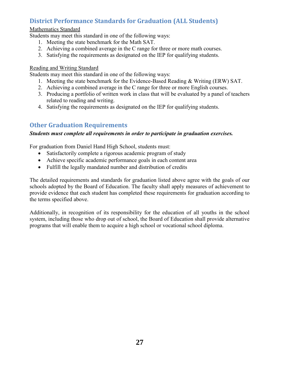# **District Performance Standards for Graduation (ALL Students)**

#### Mathematics Standard

Students may meet this standard in one of the following ways:

- 1. Meeting the state benchmark for the Math SAT.
- 2. Achieving a combined average in the C range for three or more math courses.
- 3. Satisfying the requirements as designated on the IEP for qualifying students.

#### Reading and Writing Standard

Students may meet this standard in one of the following ways:

- 1. Meeting the state benchmark for the Evidence-Based Reading & Writing (ERW) SAT.
- 2. Achieving a combined average in the C range for three or more English courses.
- 3. Producing a portfolio of written work in class that will be evaluated by a panel of teachers related to reading and writing.
- 4. Satisfying the requirements as designated on the IEP for qualifying students.

# **Other Graduation Requirements**

#### *Students must complete all requirements in order to participate in graduation exercises.*

For graduation from Daniel Hand High School, students must:

- Satisfactorily complete a rigorous academic program of study
- Achieve specific academic performance goals in each content area
- Fulfill the legally mandated number and distribution of credits

The detailed requirements and standards for graduation listed above agree with the goals of our schools adopted by the Board of Education. The faculty shall apply measures of achievement to provide evidence that each student has completed these requirements for graduation according to the terms specified above.

Additionally, in recognition of its responsibility for the education of all youths in the school system, including those who drop out of school, the Board of Education shall provide alternative programs that will enable them to acquire a high school or vocational school diploma.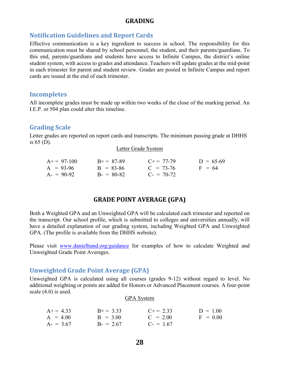#### **GRADING**

## <span id="page-27-0"></span>**Notification Guidelines and Report Cards**

Effective communication is a key ingredient to success in school. The responsibility for this communication must be shared by school personnel, the student, and their parents/guardians. To this end, parents/guardians and students have access to Infinite Campus, the district's online student system, with access to grades and attendance. Teachers will update grades at the mid-point in each trimester for parent and student review. Grades are posted in Infinite Campus and report cards are issued at the end of each trimester.

#### **Incompletes**

All incomplete grades must be made up within two weeks of the close of the marking period. An I.E.P. or 504 plan could alter this timeline.

#### **Grading Scale**

Letter grades are reported on report cards and transcripts. The minimum passing grade at DHHS is 65 (D).

|  |  | Letter Grade System |
|--|--|---------------------|
|--|--|---------------------|

| $A+=97-100$ | $B+=87-89$  | $C_{\pm} = 77 - 79$ | $D = 65-69$ |
|-------------|-------------|---------------------|-------------|
| $A = 93-96$ | $B = 83-86$ | $C = 73-76$         | $F = 64$    |
| $A = 90-92$ | $B = 80-82$ | $C_{-} = 70-72$     |             |

### **GRADE POINT AVERAGE (GPA)**

<span id="page-27-1"></span>Both a Weighted GPA and an Unweighted GPA will be calculated each trimester and reported on the transcript. Our school profile, which is submitted to colleges and universities annually, will have a detailed explanation of our grading system, including Weighted GPA and Unweighted GPA. (The profile is available from the DHHS website).

Please visit [www.danielhand.org/guidance](http://www.danielhand.org/guidance) for examples of how to calculate Weighted and Unweighted Grade Point Averages.

#### **Unweighted Grade Point Average (GPA)**

Unweighted GPA is calculated using all courses (grades 9-12) without regard to level. No additional weighting or points are added for Honors or Advanced Placement courses. A four-point scale (4.0) is used.

#### GPA System

| $A+=4.33$  | $B+=3.33$  | $C+=2.33$  | $D = 1.00$ |
|------------|------------|------------|------------|
| $A = 4.00$ | $B = 3.00$ | $C = 2.00$ | $F = 0.00$ |
| $A = 3.67$ | $B = 2.67$ | $C = 1.67$ |            |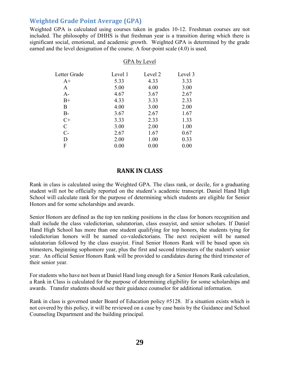# **Weighted Grade Point Average (GPA)**

Weighted GPA is calculated using courses taken in grades 10-12. Freshman courses are not included. The philosophy of DHHS is that freshman year is a transition during which there is significant social, emotional, and academic growth. Weighted GPA is determined by the grade earned and the level designation of the course. A four-point scale (4.0) is used.

|              | GPA by Level |         |         |  |
|--------------|--------------|---------|---------|--|
| Letter Grade | Level 1      | Level 2 | Level 3 |  |
| $A+$         | 5.33         | 4.33    | 3.33    |  |
| A            | 5.00         | 4.00    | 3.00    |  |
| $A-$         | 4.67         | 3.67    | 2.67    |  |
| $B+$         | 4.33         | 3.33    | 2.33    |  |
| B            | 4.00         | 3.00    | 2.00    |  |
| $B-$         | 3.67         | 2.67    | 1.67    |  |
| $C+$         | 3.33         | 2.33    | 1.33    |  |
| C            | 3.00         | 2.00    | 1.00    |  |
| $C$ -        | 2.67         | 1.67    | 0.67    |  |
| D            | 2.00         | 1.00    | 0.33    |  |
| F            | 0.00         | 0.00    | 0.00    |  |
|              |              |         |         |  |

#### **RANK IN CLASS**

<span id="page-28-0"></span>Rank in class is calculated using the Weighted GPA. The class rank, or decile, for a graduating student will not be officially reported on the student's academic transcript. Daniel Hand High School will calculate rank for the purpose of determining which students are eligible for Senior Honors and for some scholarships and awards.

Senior Honors are defined as the top ten ranking positions in the class for honors recognition and shall include the class valedictorian, salutatorian, class essayist, and senior scholars. If Daniel Hand High School has more than one student qualifying for top honors, the students tying for valedictorian honors will be named co-valedictorians. The next recipient will be named salutatorian followed by the class essayist. Final Senior Honors Rank will be based upon six trimesters, beginning sophomore year, plus the first and second trimesters of the student's senior year. An official Senior Honors Rank will be provided to candidates during the third trimester of their senior year.

For students who have not been at Daniel Hand long enough for a Senior Honors Rank calculation, a Rank in Class is calculated for the purpose of determining eligibility for some scholarships and awards. Transfer students should see their guidance counselor for additional information.

Rank in class is governed under Board of Education policy #5128. If a situation exists which is not covered by this policy, it will be reviewed on a case by case basis by the Guidance and School Counseling Department and the building principal.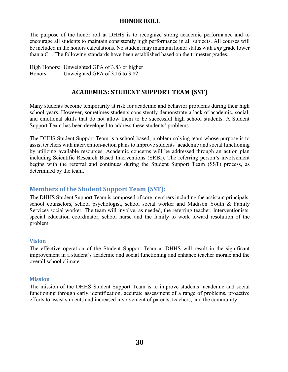### **HONOR ROLL**

<span id="page-29-0"></span>The purpose of the honor roll at DHHS is to recognize strong academic performance and to encourage all students to maintain consistently high performance in all subjects. All courses will be included in the honors calculations. No student may maintain honor status with *any* grade lower than a C+. The following standards have been established based on the trimester grades.

<span id="page-29-1"></span>High Honors: Unweighted GPA of 3.83 or higher Honors: Unweighted GPA of 3.16 to 3.82

# **ACADEMICS: STUDENT SUPPORT TEAM (SST)**

Many students become temporarily at risk for academic and behavior problems during their high school years. However, sometimes students consistently demonstrate a lack of academic, social, and emotional skills that do not allow them to be successful high school students. A Student Support Team has been developed to address these students' problems.

The DHHS Student Support Team is a school-based, problem-solving team whose purpose is to assist teachers with intervention-action plans to improve students' academic and social functioning by utilizing available resources. Academic concerns will be addressed through an action plan including Scientific Research Based Interventions (SRBI). The referring person's involvement begins with the referral and continues during the Student Support Team (SST) process, as determined by the team.

# **Members of the Student Support Team (SST):**

The DHHS Student Support Team is composed of core members including the assistant principals, school counselors, school psychologist, school social worker and Madison Youth & Family Services social worker. The team will involve, as needed, the referring teacher, interventionists, special education coordinator, school nurse and the family to work toward resolution of the problem.

#### **Vision**

The effective operation of the Student Support Team at DHHS will result in the significant improvement in a student's academic and social functioning and enhance teacher morale and the overall school climate.

#### **Mission**

The mission of the DHHS Student Support Team is to improve students' academic and social functioning through early identification, accurate assessment of a range of problems, proactive efforts to assist students and increased involvement of parents, teachers, and the community.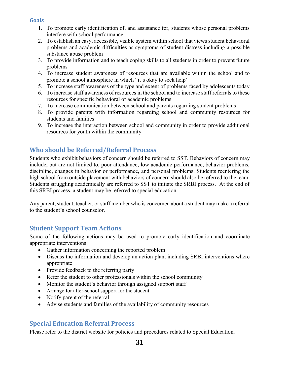#### **Goals**

- 1. To promote early identification of, and assistance for, students whose personal problems interfere with school performance
- 2. To establish an easy, accessible, visible system within school that views student behavioral problems and academic difficulties as symptoms of student distress including a possible substance abuse problem
- 3. To provide information and to teach coping skills to all students in order to prevent future problems
- 4. To increase student awareness of resources that are available within the school and to promote a school atmosphere in which "it's okay to seek help"
- 5. To increase staff awareness of the type and extent of problems faced by adolescents today
- 6. To increase staff awareness of resources in the school and to increase staff referrals to these resources for specific behavioral or academic problems
- 7. To increase communication between school and parents regarding student problems
- 8. To provide parents with information regarding school and community resources for students and families
- 9. To increase the interaction between school and community in order to provide additional resources for youth within the community

# **Who should be Referred/Referral Process**

Students who exhibit behaviors of concern should be referred to SST. Behaviors of concern may include, but are not limited to, poor attendance, low academic performance, behavior problems, discipline, changes in behavior or performance, and personal problems. Students reentering the high school from outside placement with behaviors of concern should also be referred to the team. Students struggling academically are referred to SST to initiate the SRBI process. At the end of this SRBI process, a student may be referred to special education.

Any parent, student, teacher, or staff member who is concerned about a student may make a referral to the student's school counselor.

# **Student Support Team Actions**

Some of the following actions may be used to promote early identification and coordinate appropriate interventions:

- Gather information concerning the reported problem
- Discuss the information and develop an action plan, including SRBI interventions where appropriate
- Provide feedback to the referring party
- Refer the student to other professionals within the school community
- Monitor the student's behavior through assigned support staff
- Arrange for after-school support for the student
- Notify parent of the referral
- Advise students and families of the availability of community resources

# **Special Education Referral Process**

Please refer to the district website for policies and procedures related to Special Education.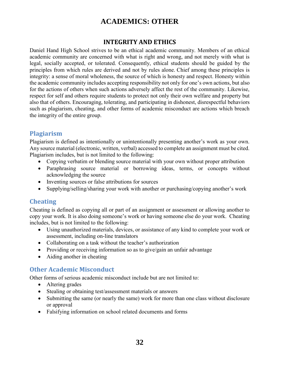# **ACADEMICS: OTHER**

## **INTEGRITY AND ETHICS**

<span id="page-31-0"></span>Daniel Hand High School strives to be an ethical academic community. Members of an ethical academic community are concerned with what is right and wrong, and not merely with what is legal, socially accepted, or tolerated. Consequently, ethical students should be guided by the principles from which rules are derived and not by rules alone. Chief among these principles is integrity: a sense of moral wholeness, the source of which is honesty and respect. Honesty within the academic community includes accepting responsibility not only for one's own actions, but also for the actions of others when such actions adversely affect the rest of the community. Likewise, respect for self and others require students to protect not only their own welfare and property but also that of others. Encouraging, tolerating, and participating in dishonest, disrespectful behaviors such as plagiarism, cheating, and other forms of academic misconduct are actions which breach the integrity of the entire group.

# **Plagiarism**

Plagiarism is defined as intentionally or unintentionally presenting another's work as your own. Any source material (electronic, written, verbal) accessed to complete an assignment must be cited. Plagiarism includes, but is not limited to the following:

- Copying verbatim or blending source material with your own without proper attribution
- Paraphrasing source material or borrowing ideas, terms, or concepts without acknowledging the source
- Inventing sources or false attributions for sources
- Supplying/selling/sharing your work with another or purchasing/copying another's work

# **Cheating**

Cheating is defined as copying all or part of an assignment or assessment or allowing another to copy your work. It is also doing someone's work or having someone else do your work. Cheating includes, but is not limited to the following:

- Using unauthorized materials, devices, or assistance of any kind to complete your work or assessment, including on-line translators
- Collaborating on a task without the teacher's authorization
- Providing or receiving information so as to give/gain an unfair advantage
- Aiding another in cheating

# **Other Academic Misconduct**

Other forms of serious academic misconduct include but are not limited to:

- Altering grades
- Stealing or obtaining test/assessment materials or answers
- Submitting the same (or nearly the same) work for more than one class without disclosure or approval
- Falsifying information on school related documents and forms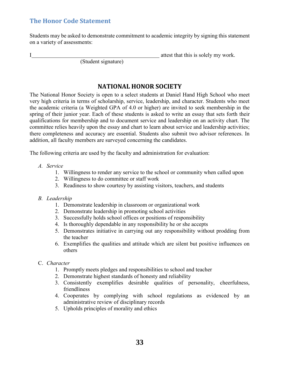# **The Honor Code Statement**

Students may be asked to demonstrate commitment to academic integrity by signing this statement on a variety of assessments:

<span id="page-32-0"></span>I attest that this is solely my work.

(Student signature)

# **NATIONAL HONOR SOCIETY**

The National Honor Society is open to a select students at Daniel Hand High School who meet very high criteria in terms of scholarship, service, leadership, and character. Students who meet the academic criteria (a Weighted GPA of 4.0 or higher) are invited to seek membership in the spring of their junior year. Each of these students is asked to write an essay that sets forth their qualifications for membership and to document service and leadership on an activity chart. The committee relies heavily upon the essay and chart to learn about service and leadership activities; there completeness and accuracy are essential. Students also submit two advisor references. In addition, all faculty members are surveyed concerning the candidates.

The following criteria are used by the faculty and administration for evaluation:

- *A. Service*
	- 1. Willingness to render any service to the school or community when called upon
	- 2. Willingness to do committee or staff work
	- 3. Readiness to show courtesy by assisting visitors, teachers, and students

#### *B. Leadership*

- 1. Demonstrate leadership in classroom or organizational work
- 2. Demonstrate leadership in promoting school activities
- 3. Successfully holds school offices or positions of responsibility
- 4. Is thoroughly dependable in any responsibility he or she accepts
- 5. Demonstrates initiative in carrying out any responsibility without prodding from the teacher
- 6. Exemplifies the qualities and attitude which are silent but positive influences on others
- C. *Character*
	- 1. Promptly meets pledges and responsibilities to school and teacher
	- 2. Demonstrate highest standards of honesty and reliability
	- 3. Consistently exemplifies desirable qualities of personality, cheerfulness, friendliness
	- 4. Cooperates by complying with school regulations as evidenced by an administrative review of disciplinary records
	- 5. Upholds principles of morality and ethics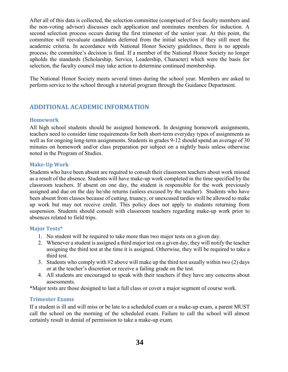After all of this data is collected, the selection committee (comprised of five faculty members and the non-voting advisor) discusses each application and nominates members for induction. A second selection process occurs during the first trimester of the senior year. At this point, the committee will reevaluate candidates deferred from the initial selection if they still meet the academic criteria. In accordance with National Honor Society guidelines, there is no appeals process; the committee's decision is final. If a member of the National Honor Society no longer upholds the standards (Scholarship, Service, Leadership, Character) which were the basis for selection, the faculty council may take action to determine continued membership.

The National Honor Society meets several times during the school year. Members are asked to perform service to the school through a tutorial program through the Guidance Department.

# **ADDITIONAL ACADEMIC INFORMATION**

#### **Homework**

All high school students should be assigned homework. In designing homework assignments, teachers need to consider time requirements for both short-term everyday types of assignments as well as for ongoing long-term assignments. Students in grades 9-12 should spend an average of 30 minutes on homework and/or class preparation per subject on a nightly basis unless otherwise noted in the Program of Studies.

#### **Make-Up Work**

Students who have been absent are required to consult their classroom teachers about work missed as a result of the absence. Students will have make-up work completed in the time specified by the classroom teachers. If absent on one day, the student is responsible for the work previously assigned and due on the day he/she returns (unless excused by the teacher). Students who have been absent from classes because of cutting, truancy, or unexcused tardies will be allowed to make up work but may not receive credit. This policy does not apply to students returning from suspension. Students should consult with classroom teachers regarding make-up work prior to absences related to field trips.

#### **Major Tests\***

- 1. No student will be required to take more than two major tests on a given day.
- 2. Whenever a student is assigned a third major test on a given day, they will notify the teacher assigning the third test at the time it is assigned. Otherwise, they will be required to take a third test.
- 3. Students who comply with #2 above will make up the third test usually within two (2) days or at the teacher's discretion or receive a failing grade on the test.
- 4. All students are encouraged to speak with their teachers if they have any concerns about assessments.

\*Major tests are those designed to last a full class or cover a major segment of course work.

#### **Trimester Exams**

If a student is ill and will miss or be late to a scheduled exam or a make-up exam, a parent MUST call the school on the morning of the scheduled exam. Failure to call the school will almost certainly result in denial of permission to take a make-up exam.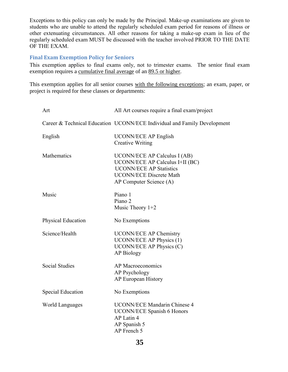Exceptions to this policy can only be made by the Principal. Make-up examinations are given to students who are unable to attend the regularly scheduled exam period for reasons of illness or other extenuating circumstances. All other reasons for taking a make-up exam in lieu of the regularly scheduled exam MUST be discussed with the teacher involved PRIOR TO THE DATE OF THE EXAM.

#### **Final Exam Exemption Policy for Seniors**

This exemption applies to final exams only, not to trimester exams. The senior final exam exemption requires a cumulative final average of an 89.5 or higher.

This exemption applies for all senior courses with the following exceptions; an exam, paper, or project is required for these classes or departments:

| Art                      | All Art courses require a final exam/project                                                                                                                          |  |
|--------------------------|-----------------------------------------------------------------------------------------------------------------------------------------------------------------------|--|
|                          | Career & Technical Education UCONN/ECE Individual and Family Development                                                                                              |  |
| English                  | <b>UCONN/ECE AP English</b><br><b>Creative Writing</b>                                                                                                                |  |
| Mathematics              | <b>UCONN/ECE AP Calculus I (AB)</b><br>UCONN/ECE AP Calculus I+II (BC)<br><b>UCONN/ECE AP Statistics</b><br><b>UCONN/ECE Discrete Math</b><br>AP Computer Science (A) |  |
| Music                    | Piano 1<br>Piano 2<br>Music Theory $1+2$                                                                                                                              |  |
| Physical Education       | No Exemptions                                                                                                                                                         |  |
| Science/Health           | <b>UCONN/ECE AP Chemistry</b><br><b>UCONN/ECE AP Physics (1)</b><br>UCONN/ECE AP Physics (C)<br><b>AP Biology</b>                                                     |  |
| <b>Social Studies</b>    | AP Macroeconomics<br>AP Psychology<br>AP European History                                                                                                             |  |
| <b>Special Education</b> | No Exemptions                                                                                                                                                         |  |
| <b>World Languages</b>   | <b>UCONN/ECE Mandarin Chinese 4</b><br><b>UCONN/ECE Spanish 6 Honors</b><br>AP Latin 4<br>AP Spanish 5<br>AP French 5                                                 |  |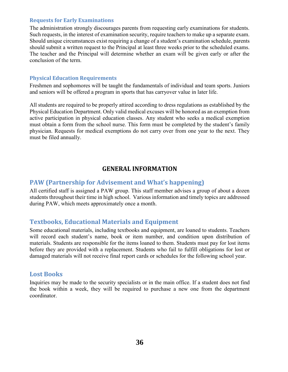#### **Requests for Early Examinations**

The administration strongly discourages parents from requesting early examinations for students. Such requests, in the interest of examination security, require teachers to make up a separate exam. Should unique circumstances exist requiring a change of a student's examination schedule, parents should submit a written request to the Principal at least three weeks prior to the scheduled exams. The teacher and the Principal will determine whether an exam will be given early or after the conclusion of the term.

#### **Physical Education Requirements**

Freshmen and sophomores will be taught the fundamentals of individual and team sports. Juniors and seniors will be offered a program in sports that has carryover value in later life.

All students are required to be properly attired according to dress regulations as established by the Physical Education Department. Only valid medical excuses will be honored as an exemption from active participation in physical education classes. Any student who seeks a medical exemption must obtain a form from the school nurse. This form must be completed by the student's family physician. Requests for medical exemptions do not carry over from one year to the next. They must be filed annually.

## **GENERAL INFORMATION**

### <span id="page-35-0"></span>**PAW (Partnership for Advisement and What's happening)**

All certified staff is assigned a PAW group. This staff member advises a group of about a dozen students throughout their time in high school. Various information and timely topics are addressed during PAW, which meets approximately once a month.

# **Textbooks, Educational Materials and Equipment**

Some educational materials, including textbooks and equipment, are loaned to students. Teachers will record each student's name, book or item number, and condition upon distribution of materials. Students are responsible for the items loaned to them. Students must pay for lost items before they are provided with a replacement. Students who fail to fulfill obligations for lost or damaged materials will not receive final report cards or schedules for the following school year.

### **Lost Books**

Inquiries may be made to the security specialists or in the main office. If a student does not find the book within a week, they will be required to purchase a new one from the department coordinator.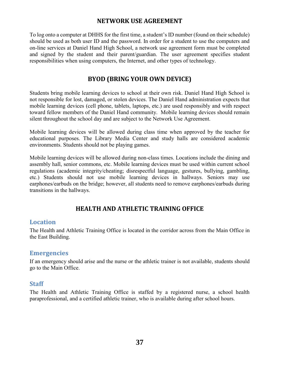## **NETWORK USE AGREEMENT**

<span id="page-36-0"></span>To log onto a computer at DHHS for the first time, a student's ID number (found on their schedule) should be used as both user ID and the password. In order for a student to use the computers and on-line services at Daniel Hand High School, a network use agreement form must be completed and signed by the student and their parent/guardian. The user agreement specifies student responsibilities when using computers, the Internet, and other types of technology.

# **BYOD (BRING YOUR OWN DEVICE)**

<span id="page-36-1"></span>Students bring mobile learning devices to school at their own risk. Daniel Hand High School is not responsible for lost, damaged, or stolen devices. The Daniel Hand administration expects that mobile learning devices (cell phone, tablets, laptops, etc.) are used responsibly and with respect toward fellow members of the Daniel Hand community. Mobile learning devices should remain silent throughout the school day and are subject to the Network Use Agreement.

Mobile learning devices will be allowed during class time when approved by the teacher for educational purposes. The Library Media Center and study halls are considered academic environments. Students should not be playing games.

Mobile learning devices will be allowed during non-class times. Locations include the dining and assembly hall, senior commons, etc. Mobile learning devices must be used within current school regulations (academic integrity/cheating; disrespectful language, gestures, bullying, gambling, etc.) Students should not use mobile learning devices in hallways. Seniors may use earphones/earbuds on the bridge; however, all students need to remove earphones/earbuds during transitions in the hallways.

# **HEALTH AND ATHLETIC TRAINING OFFICE**

### <span id="page-36-2"></span>**Location**

The Health and Athletic Training Office is located in the corridor across from the Main Office in the East Building.

### **Emergencies**

If an emergency should arise and the nurse or the athletic trainer is not available, students should go to the Main Office.

### **Staff**

The Health and Athletic Training Office is staffed by a registered nurse, a school health paraprofessional, and a certified athletic trainer, who is available during after school hours.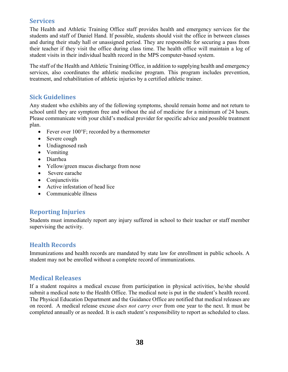# **Services**

The Health and Athletic Training Office staff provides health and emergency services for the students and staff of Daniel Hand. If possible, students should visit the office in between classes and during their study hall or unassigned period. They are responsible for securing a pass from their teacher if they visit the office during class time. The health office will maintain a log of student visits in their individual health record in the MPS computer-based system.

The staff of the Health and Athletic Training Office, in addition to supplying health and emergency services, also coordinates the athletic medicine program. This program includes prevention, treatment, and rehabilitation of athletic injuries by a certified athletic trainer.

# **Sick Guidelines**

Any student who exhibits any of the following symptoms, should remain home and not return to school until they are symptom free and without the aid of medicine for a minimum of 24 hours. Please communicate with your child's medical provider for specific advice and possible treatment plan.

- Fever over  $100^{\circ}$ F; recorded by a thermometer
- Severe cough
- Undiagnosed rash
- Vomiting
- Diarrhea
- Yellow/green mucus discharge from nose
- Severe earache
- Conjunctivitis
- Active infestation of head lice
- Communicable illness

# **Reporting Injuries**

Students must immediately report any injury suffered in school to their teacher or staff member supervising the activity.

# **Health Records**

Immunizations and health records are mandated by state law for enrollment in public schools. A student may not be enrolled without a complete record of immunizations.

# **Medical Releases**

If a student requires a medical excuse from participation in physical activities, he/she should submit a medical note to the Health Office. The medical note is put in the student's health record. The Physical Education Department and the Guidance Office are notified that medical releases are on record. A medical release excuse *does not carry over* from one year to the next. It must be completed annually or as needed. It is each student's responsibility to report as scheduled to class.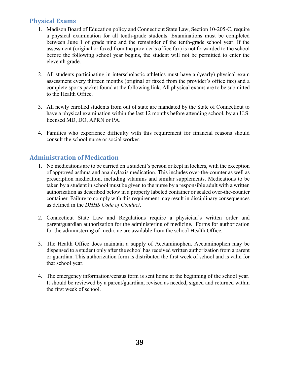# **Physical Exams**

- 1. Madison Board of Education policy and Connecticut State Law, Section 10-205-C, require a physical examination for all tenth-grade students. Examinations must be completed between June 1 of grade nine and the remainder of the tenth-grade school year. If the assessment (original or faxed from the provider's office fax) is not forwarded to the school before the following school year begins, the student will not be permitted to enter the eleventh grade.
- 2. All students participating in interscholastic athletics must have a (yearly) physical exam assessment every thirteen months (original or faxed from the provider's office fax) and a complete sports packet found at the following link. All physical exams are to be submitted to the Health Office.
- 3. All newly enrolled students from out of state are mandated by the State of Connecticut to have a physical examination within the last 12 months before attending school, by an U.S. licensed MD, DO, APRN or PA.
- 4. Families who experience difficulty with this requirement for financial reasons should consult the school nurse or social worker.

# **Administration of Medication**

- 1. No medications are to be carried on a student's person or kept in lockers, with the exception of approved asthma and anaphylaxis medication. This includes over-the-counter as well as prescription medication, including vitamins and similar supplements. Medications to be taken by a student in school must be given to the nurse by a responsible adult with a written authorization as described below in a properly labeled container or sealed over-the-counter container. Failure to comply with this requirement may result in disciplinary consequences as defined in the *DHHS Code of Conduct*.
- 2. Connecticut State Law and Regulations require a physician's written order and parent/guardian authorization for the administering of medicine. Forms for authorization for the administering of medicine are available from the school Health Office.
- 3. The Health Office does maintain a supply of Acetaminophen. Acetaminophen may be dispensed to a student only after the school has received written authorization from a parent or guardian. This authorization form is distributed the first week of school and is valid for that school year.
- 4. The emergency information/census form is sent home at the beginning of the school year. It should be reviewed by a parent/guardian, revised as needed, signed and returned within the first week of school.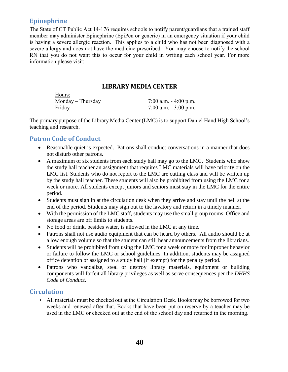# **Epinephrine**

The State of CT Public Act 14-176 requires schools to notify parent/guardians that a trained staff member may administer Epinephrine (EpiPen or generic) in an emergency situation if your child is having a severe allergic reaction. This applies to a child who has not been diagnosed with a severe allergy and does not have the medicine prescribed. You may choose to notify the school RN that you do not want this to occur for your child in writing each school year. For more information please visit:

## **LIBRARY MEDIA CENTER**

<span id="page-39-0"></span>

| 7:00 a.m. $-4:00$ p.m. |
|------------------------|
| 7:00 a.m. $-3:00$ p.m. |
|                        |

The primary purpose of the Library Media Center (LMC) is to support Daniel Hand High School's teaching and research.

# **Patron Code of Conduct**

Hours:

- Reasonable quiet is expected. Patrons shall conduct conversations in a manner that does not disturb other patrons.
- A maximum of six students from each study hall may go to the LMC. Students who show the study hall teacher an assignment that requires LMC materials will have priority on the LMC list. Students who do not report to the LMC are cutting class and will be written up by the study hall teacher. These students will also be prohibited from using the LMC for a week or more. All students except juniors and seniors must stay in the LMC for the entire period.
- Students must sign in at the circulation desk when they arrive and stay until the bell at the end of the period. Students may sign out to the lavatory and return in a timely manner.
- With the permission of the LMC staff, students may use the small group rooms. Office and storage areas are off limits to students.
- No food or drink, besides water, is allowed in the LMC at any time.
- Patrons shall not use audio equipment that can be heard by others. All audio should be at a low enough volume so that the student can still hear announcements from the librarians.
- Students will be prohibited from using the LMC for a week or more for improper behavior or failure to follow the LMC or school guidelines. In addition, students may be assigned office detention or assigned to a study hall (if exempt) for the penalty period.
- Patrons who vandalize, steal or destroy library materials, equipment or building components will forfeit all library privileges as well as serve consequences per the *DHHS Code of Conduct*.

# **Circulation**

• All materials must be checked out at the Circulation Desk. Books may be borrowed for two weeks and renewed after that. Books that have been put on reserve by a teacher may be used in the LMC or checked out at the end of the school day and returned in the morning.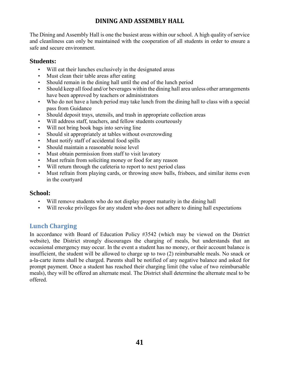# **DINING AND ASSEMBLY HALL**

<span id="page-40-0"></span>The Dining and Assembly Hall is one the busiest areas within our school. A high quality of service and cleanliness can only be maintained with the cooperation of all students in order to ensure a safe and secure environment.

## **Students:**

- Will eat their lunches exclusively in the designated areas
- Must clean their table areas after eating
- Should remain in the dining hall until the end of the lunch period
- Should keep all food and/or beverages within the dining hall area unless other arrangements have been approved by teachers or administrators
- Who do not have a lunch period may take lunch from the dining hall to class with a special pass from Guidance
- Should deposit trays, utensils, and trash in appropriate collection areas
- Will address staff, teachers, and fellow students courteously
- Will not bring book bags into serving line
- Should sit appropriately at tables without overcrowding
- Must notify staff of accidental food spills
- Should maintain a reasonable noise level
- Must obtain permission from staff to visit lavatory
- Must refrain from soliciting money or food for any reason
- Will return through the cafeteria to report to next period class
- Must refrain from playing cards, or throwing snow balls, frisbees, and similar items even in the courtyard

### **School:**

- Will remove students who do not display proper maturity in the dining hall
- Will revoke privileges for any student who does not adhere to dining hall expectations

# **Lunch Charging**

In accordance with Board of Education Policy #3542 (which may be viewed on the District website), the District strongly discourages the charging of meals, but understands that an occasional emergency may occur. In the event a student has no money, or their account balance is insufficient, the student will be allowed to charge up to two (2) reimbursable meals. No snack or a-la-carte items shall be charged. Parents shall be notified of any negative balance and asked for prompt payment. Once a student has reached their charging limit (the value of two reimbursable meals), they will be offered an alternate meal. The District shall determine the alternate meal to be offered.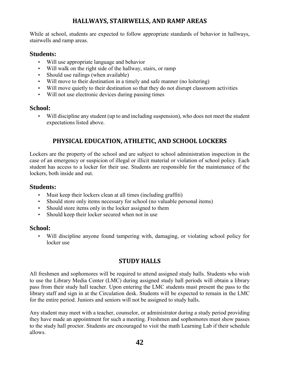# **HALLWAYS, STAIRWELLS, AND RAMP AREAS**

<span id="page-41-0"></span>While at school, students are expected to follow appropriate standards of behavior in hallways, stairwells and ramp areas.

# **Students:**

- Will use appropriate language and behavior
- Will walk on the right side of the hallway, stairs, or ramp
- Should use railings (when available)
- Will move to their destination in a timely and safe manner (no loitering)
- Will move quietly to their destination so that they do not disrupt classroom activities
- Will not use electronic devices during passing times

# **School:**

<span id="page-41-1"></span>• Will discipline any student (up to and including suspension), who does not meet the student expectations listed above.

# **PHYSICAL EDUCATION, ATHLETIC, AND SCHOOL LOCKERS**

Lockers are the property of the school and are subject to school administration inspection in the case of an emergency or suspicion of illegal or illicit material or violation of school policy. Each student has access to a locker for their use. Students are responsible for the maintenance of the lockers, both inside and out.

## **Students:**

- Must keep their lockers clean at all times (including graffiti)
- Should store only items necessary for school (no valuable personal items)
- Should store items only in the locker assigned to them
- Should keep their locker secured when not in use

# **School:**

<span id="page-41-2"></span>• Will discipline anyone found tampering with, damaging, or violating school policy for locker use

# **STUDY HALLS**

All freshmen and sophomores will be required to attend assigned study halls. Students who wish to use the Library Media Center (LMC) during assigned study hall periods will obtain a library pass from their study hall teacher. Upon entering the LMC students must present the pass to the library staff and sign in at the Circulation desk. Students will be expected to remain in the LMC for the entire period. Juniors and seniors will not be assigned to study halls.

Any student may meet with a teacher, counselor, or administrator during a study period providing they have made an appointment for such a meeting. Freshmen and sophomores must show passes to the study hall proctor. Students are encouraged to visit the math Learning Lab if their schedule allows.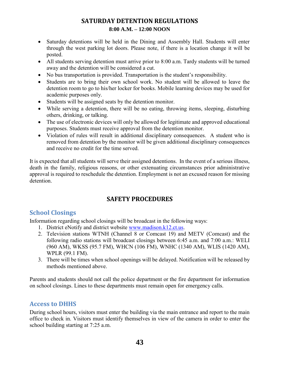# **SATURDAY DETENTION REGULATIONS 8:00 A.M. – 12:00 NOON**

- <span id="page-42-0"></span>• Saturday detentions will be held in the Dining and Assembly Hall. Students will enter through the west parking lot doors. Please note, if there is a location change it will be posted.
- All students serving detention must arrive prior to 8:00 a.m. Tardy students will be turned away and the detention will be considered a cut.
- No bus transportation is provided. Transportation is the student's responsibility.
- Students are to bring their own school work. No student will be allowed to leave the detention room to go to his/her locker for books. Mobile learning devices may be used for academic purposes only.
- Students will be assigned seats by the detention monitor.
- While serving a detention, there will be no eating, throwing items, sleeping, disturbing others, drinking, or talking.
- The use of electronic devices will only be allowed for legitimate and approved educational purposes. Students must receive approval from the detention monitor.
- Violation of rules will result in additional disciplinary consequences. A student who is removed from detention by the monitor will be given additional disciplinary consequences and receive no credit for the time served.

It is expected that all students will serve their assigned detentions. In the event of a serious illness, death in the family, religious reasons, or other extenuating circumstances prior administrative approval is required to reschedule the detention. Employment is not an excused reason for missing detention.

# **SAFETY PROCEDURES**

# <span id="page-42-1"></span>**School Closings**

Information regarding school closings will be broadcast in the following ways:

- 1. District eNotify and district website [www.madison.k12.ct.us.](http://www.madison.k12.ct.us/)
- 2. Television stations WTNH (Channel 8 or Comcast 19) and METV (Comcast) and the following radio stations will broadcast closings between 6:45 a.m. and 7:00 a.m.: WELI (960 AM), WKSS (95.7 FM), WHCN (106 FM), WNHC (1340 AM), WLIS (1420 AM), WPLR (99.1 FM).
- 3. There will be times when school openings will be delayed. Notification will be released by methods mentioned above.

Parents and students should not call the police department or the fire department for information on school closings. Lines to these departments must remain open for emergency calls.

# **Access to DHHS**

During school hours, visitors must enter the building via the main entrance and report to the main office to check in. Visitors must identify themselves in view of the camera in order to enter the school building starting at 7:25 a.m.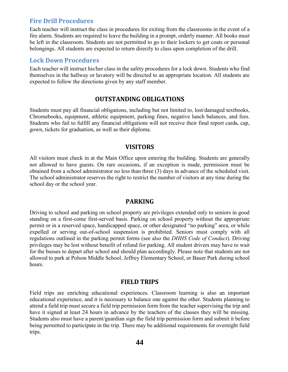### **Fire Drill Procedures**

Each teacher will instruct the class in procedures for exiting from the classrooms in the event of a fire alarm. Students are required to leave the building in a prompt, orderly manner. All books must be left in the classroom. Students are not permitted to go to their lockers to get coats or personal belongings. All students are expected to return directly to class upon completion of the drill.

#### **Lock Down Procedures**

<span id="page-43-0"></span>Each teacher will instruct his/her class in the safety procedures for a lock down. Students who find themselves in the hallway or lavatory will be directed to an appropriate location. All students are expected to follow the directions given by any staff member.

#### **OUTSTANDING OBLIGATIONS**

Students must pay all financial obligations, including but not limited to, lost/damaged textbooks, Chromebooks, equipment, athletic equipment, parking fines, negative lunch balances, and fees. Students who fail to fulfill any financial obligations will not receive their final report cards, cap, gown, tickets for graduation, as well as their diploma.

#### **VISITORS**

<span id="page-43-1"></span>All visitors must check in at the Main Office upon entering the building. Students are generally not allowed to have guests. On rare occasions, if an exception is made, permission must be obtained from a school administrator no less than three (3) days in advance of the scheduled visit. The school administrator reserves the right to restrict the number of visitors at any time during the school day or the school year.

#### **PARKING**

<span id="page-43-2"></span>Driving to school and parking on school property are privileges extended only to seniors in good standing on a first-come first-served basis. Parking on school property without the appropriate permit or in a reserved space, handicapped space, or other designated "no parking" area, or while expelled or serving out-of-school suspension is prohibited. Seniors must comply with all regulations outlined in the parking permit forms (see also the *DHHS Code of Conduct*). Driving privileges may be lost without benefit of refund for parking. All student drivers may have to wait for the busses to depart after school and should plan accordingly. Please note that students are not allowed to park at Polson Middle School, Jeffrey Elementary School, or Bauer Park during school hours.

#### **FIELD TRIPS**

<span id="page-43-3"></span>Field trips are enriching educational experiences. Classroom learning is also an important educational experience, and it is necessary to balance one against the other. Students planning to attend a field trip must secure a field trip permission form from the teacher supervising the trip and have it signed at least 24 hours in advance by the teachers of the classes they will be missing. Students also must have a parent/guardian sign the field trip permission form and submit it before being permitted to participate in the trip. There may be additional requirements for overnight field trips.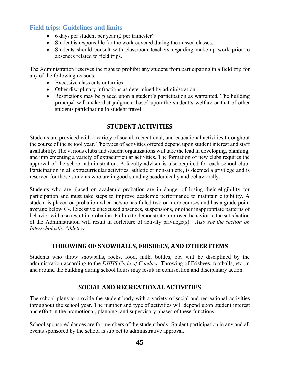# **Field trips: Guidelines and limits**

- 6 days per student per year (2 per trimester)
- Student is responsible for the work covered during the missed classes.
- Students should consult with classroom teachers regarding make-up work prior to absences related to field trips.

The Administration reserves the right to prohibit any student from participating in a field trip for any of the following reasons:

- Excessive class cuts or tardies
- Other disciplinary infractions as determined by administration
- Restrictions may be placed upon a student's participation as warranted. The building principal will make that judgment based upon the student's welfare or that of other students participating in student travel.

# **STUDENT ACTIVITIES**

<span id="page-44-0"></span>Students are provided with a variety of social, recreational, and educational activities throughout the course of the school year. The types of activities offered depend upon student interest and staff availability. The various clubs and student organizations will take the lead in developing, planning, and implementing a variety of extracurricular activities. The formation of new clubs requires the approval of the school administration. A faculty advisor is also required for each school club. Participation in all extracurricular activities, athletic or non-athletic, is deemed a privilege and is reserved for those students who are in good standing academically and behaviorally.

Students who are placed on academic probation are in danger of losing their eligibility for participation and must take steps to improve academic performance to maintain eligibility. A student is placed on probation when he/she has failed two or more courses and has a grade point average below C-. Excessive unexcused absences, suspensions, or other inappropriate patterns of behavior will also result in probation. Failure to demonstrate improved behavior to the satisfaction of the Administration will result in forfeiture of activity privilege(s). *Also see the section on Interscholastic Athletics.*

# **THROWING OF SNOWBALLS, FRISBEES, AND OTHER ITEMS**

<span id="page-44-2"></span><span id="page-44-1"></span>Students who throw snowballs, rocks, food, milk, bottles, etc. will be disciplined by the administration according to the *DHHS Code of Conduct*. Throwing of Frisbees, footballs, etc. in and around the building during school hours may result in confiscation and disciplinary action.

# **SOCIAL AND RECREATIONAL ACTIVITIES**

The school plans to provide the student body with a variety of social and recreational activities throughout the school year. The number and type of activities will depend upon student interest and effort in the promotional, planning, and supervisory phases of these functions.

School sponsored dances are for members of the student body. Student participation in any and all events sponsored by the school is subject to administrative approval.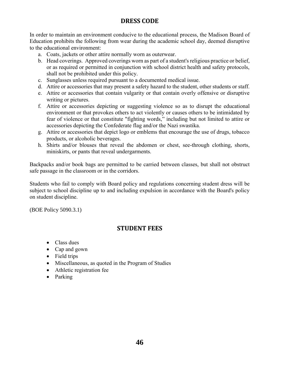# **DRESS CODE**

<span id="page-45-0"></span>In order to maintain an environment conducive to the educational process, the Madison Board of Education prohibits the following from wear during the academic school day, deemed disruptive to the educational environment:

- a. Coats, jackets or other attire normally worn as outerwear.
- b. Head coverings. Approved coverings worn as part of a student's religious practice or belief, or as required or permitted in conjunction with school district health and safety protocols, shall not be prohibited under this policy.
- c. Sunglasses unless required pursuant to a documented medical issue.
- d. Attire or accessories that may present a safety hazard to the student, other students or staff.
- e. Attire or accessories that contain vulgarity or that contain overly offensive or disruptive writing or pictures.
- f. Attire or accessories depicting or suggesting violence so as to disrupt the educational environment or that provokes others to act violently or causes others to be intimidated by fear of violence or that constitute "fighting words," including but not limited to attire or accessories depicting the Confederate flag and/or the Nazi swastika.
- g. Attire or accessories that depict logo or emblems that encourage the use of drugs, tobacco products, or alcoholic beverages.
- h. Shirts and/or blouses that reveal the abdomen or chest, see-through clothing, shorts, miniskirts, or pants that reveal undergarments.

Backpacks and/or book bags are permitted to be carried between classes, but shall not obstruct safe passage in the classroom or in the corridors.

Students who fail to comply with Board policy and regulations concerning student dress will be subject to school discipline up to and including expulsion in accordance with the Board's policy on student discipline.

<span id="page-45-1"></span>(BOE Policy 5090.3.1)

# **STUDENT FEES**

- Class dues
- Cap and gown
- Field trips
- Miscellaneous, as quoted in the Program of Studies
- Athletic registration fee
- Parking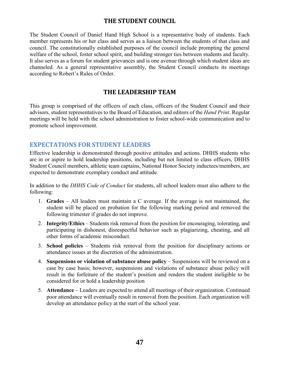## **THE STUDENT COUNCIL**

<span id="page-46-0"></span>The Student Council of Daniel Hand High School is a representative body of students. Each member represents his or her class and serves as a liaison between the students of that class and council. The constitutionally established purposes of the council include prompting the general welfare of the school, foster school spirit, and building stronger ties between students and faculty. It also serves as a forum for student grievances and is one avenue through which student ideas are channeled. As a general representative assembly, the Student Council conducts its meetings according to Robert's Rules of Order.

### **THE LEADERSHIP TEAM**

<span id="page-46-1"></span>This group is comprised of the officers of each class, officers of the Student Council and their advisors, student representatives to the Board of Education, and editors of the *Hand Print*. Regular meetings will be held with the school administration to foster school-wide communication and to promote school improvement.

## **EXPECTATIONS FOR STUDENT LEADERS**

Effective leadership is demonstrated through positive attitudes and actions. DHHS students who are in or aspire to hold leadership positions, including but not limited to class officers, DHHS Student Council members, athletic team captains, National Honor Society inductees/members, are expected to demonstrate exemplary conduct and attitude.

In addition to the *DHHS Code of Conduct* for students, all school leaders must also adhere to the following:

- 1. **Grades** All leaders must maintain a C average. If the average is not maintained, the student will be placed on probation for the following marking period and removed the following trimester if grades do not improve.
- 2. **Integrity/Ethics** Students risk removal from the position for encouraging, tolerating, and participating in dishonest, disrespectful behavior such as plagiarizing, cheating, and all other forms of academic misconduct.
- 3. **School policies** Students risk removal from the position for disciplinary actions or attendance issues at the discretion of the administration.
- 4. **Suspensions or violation of substance abuse policy** Suspensions will be reviewed on a case by case basis; however, suspensions and violations of substance abuse policy will result in the forfeiture of the student's position and renders the student ineligible to be considered for or hold a leadership position
- 5. **Attendance** Leaders are expected to attend all meetings of their organization. Continued poor attendance will eventually result in removal from the position. Each organization will develop an attendance policy at the start of the school year.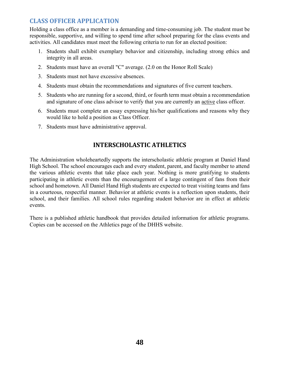# **CLASS OFFICER APPLICATION**

Holding a class office as a member is a demanding and time-consuming job. The student must be responsible, supportive, and willing to spend time after school preparing for the class events and activities. All candidates must meet the following criteria to run for an elected position:

- 1. Students shall exhibit exemplary behavior and citizenship, including strong ethics and integrity in all areas.
- 2. Students must have an overall "C" average. (2.0 on the Honor Roll Scale)
- 3. Students must not have excessive absences.
- 4. Students must obtain the recommendations and signatures of five current teachers.
- 5. Students who are running for a second, third, or fourth term must obtain a recommendation and signature of one class advisor to verify that you are currently an active class officer.
- 6. Students must complete an essay expressing his/her qualifications and reasons why they would like to hold a position as Class Officer.
- <span id="page-47-0"></span>7. Students must have administrative approval.

# **INTERSCHOLASTIC ATHLETICS**

The Administration wholeheartedly supports the interscholastic athletic program at Daniel Hand High School. The school encourages each and every student, parent, and faculty member to attend the various athletic events that take place each year. Nothing is more gratifying to students participating in athletic events than the encouragement of a large contingent of fans from their school and hometown. All Daniel Hand High students are expected to treat visiting teams and fans in a courteous, respectful manner. Behavior at athletic events is a reflection upon students, their school, and their families. All school rules regarding student behavior are in effect at athletic events.

There is a published athletic handbook that provides detailed information for athletic programs. Copies can be accessed on the Athletics page of the DHHS website.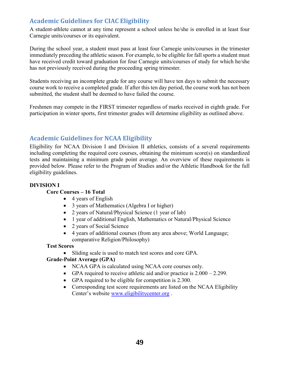# **Academic Guidelines for CIAC Eligibility**

A student-athlete cannot at any time represent a school unless he/she is enrolled in at least four Carnegie units/courses or its equivalent.

During the school year, a student must pass at least four Carnegie units/courses in the trimester immediately preceding the athletic season. For example, to be eligible for fall sports a student must have received credit toward graduation for four Carnegie units/courses of study for which he/she has not previously received during the proceeding spring trimester.

Students receiving an incomplete grade for any course will have ten days to submit the necessary course work to receive a completed grade. If after this ten day period, the course work has not been submitted, the student shall be deemed to have failed the course.

Freshmen may compete in the FIRST trimester regardless of marks received in eighth grade. For participation in winter sports, first trimester grades will determine eligibility as outlined above.

# **Academic Guidelines for NCAA Eligibility**

Eligibility for NCAA Division I and Division II athletics, consists of a several requirements including completing the required core courses, obtaining the minimum score(s) on standardized tests and maintaining a minimum grade point average. An overview of these requirements is provided below. Please refer to the Program of Studies and/or the Athletic Handbook for the full eligibility guidelines.

#### **DIVISION I**

#### **Core Courses – 16 Total**

- 4 years of English
- 3 years of Mathematics (Algebra I or higher)
- 2 years of Natural/Physical Science (1 year of lab)
- 1 year of additional English, Mathematics or Natural/Physical Science
- 2 years of Social Science
- 4 years of additional courses (from any area above; World Language; comparative Religion/Philosophy)

#### **Test Scores**

• Sliding scale is used to match test scores and core GPA.

#### **Grade-Point Average (GPA)**

- NCAA GPA is calculated using NCAA core courses only.
- GPA required to receive athletic aid and/or practice is  $2.000 2.299$ .
- GPA required to be eligible for competition is 2.300.
- Corresponding test score requirements are listed on the NCAA Eligibility Center's website [www.eligibilitycenter.org](http://www.eligibilitycenter.org/) .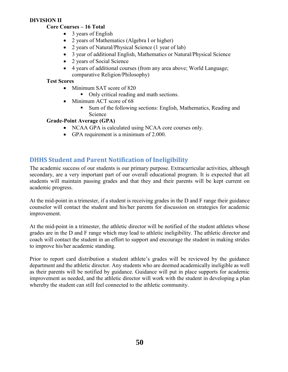#### **DIVISION II**

#### **Core Courses – 16 Total**

- 3 years of English
- 2 years of Mathematics (Algebra I or higher)
- 2 years of Natural/Physical Science (1 year of lab)
- 3 year of additional English, Mathematics or Natural/Physical Science
- 2 years of Social Science
- 4 years of additional courses (from any area above; World Language; comparative Religion/Philosophy)

#### **Test Scores**

- Minimum SAT score of 820
	- Only critical reading and math sections.
- Minimum ACT score of 68
	- Sum of the following sections: English, Mathematics, Reading and Science

#### **Grade-Point Average (GPA)**

- NCAA GPA is calculated using NCAA core courses only.
- GPA requirement is a minimum of 2.000.

# **DHHS Student and Parent Notification of Ineligibility**

The academic success of our students is our primary purpose. Extracurricular activities, although secondary, are a very important part of our overall educational program. It is expected that all students will maintain passing grades and that they and their parents will be kept current on academic progress.

At the mid-point in a trimester, if a student is receiving grades in the D and F range their guidance counselor will contact the student and his/her parents for discussion on strategies for academic improvement.

At the mid-point in a trimester, the athletic director will be notified of the student athletes whose grades are in the D and F range which may lead to athletic ineligibility. The athletic director and coach will contact the student in an effort to support and encourage the student in making strides to improve his/her academic standing.

Prior to report card distribution a student athlete's grades will be reviewed by the guidance department and the athletic director. Any students who are deemed academically ineligible as well as their parents will be notified by guidance. Guidance will put in place supports for academic improvement as needed, and the athletic director will work with the student in developing a plan whereby the student can still feel connected to the athletic community.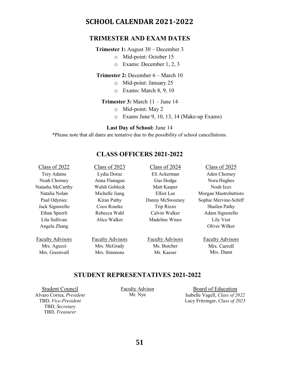# <span id="page-50-0"></span>**SCHOOL CALENDAR 2021-2022**

#### **TRIMESTER AND EXAM DATES**

#### **Trimester 1:** August 30 – December 3

- o Mid-point: October 15
- o Exams: December 1, 2, 3

#### **Trimester 2:** December 6 – March 10

- o Mid-point: January 25
- o Exams: March 8, 9, 10

#### **Trimester 3:** March 11 – June 14

- o Mid-point: May 2
- o Exams June 9, 10, 13, 14 (Make-up Exams)

#### **Last Day of School:** June 14

\*Please note that all dates are tentative due to the possibility of school cancellations.

## **CLASS OFFICERS 2021-2022**

| Class of 2022           | Class of 2023           | Class of 2024           | Class of 2025           |
|-------------------------|-------------------------|-------------------------|-------------------------|
| Trey Adams              | Lydia Doraz             | Eli Ackerman            | Aden Chorney            |
| Noah Chorney            | Anna Flanagan           | Gus Hodge               | Nora Hughes             |
| Natasha McCarthy        | Walsh Gobleck           | Matt Kasper             | Noah Izzo               |
| Natalia Nolan           | Michelle Jiang          | Elliot Lee              | Morgan Mastrobattisto   |
| Paul Odyniec            | Kiran Pathy             | Danny McSweeney         | Sophie Mervine-Schiff   |
| Jack Signorello         | Coco Rourke             | Trip Rizzo              | Shailen Pathy           |
| Ethan Speerli           | Rebecca Wahl            | Calvin Walker           | Adam Signorello         |
| Lila Sullivan           | Alice Walker            | Madeline Wines          | Lily Vest               |
| Angela Zhang            |                         |                         | Oliver Wilker           |
| <b>Faculty Advisors</b> | <b>Faculty Advisors</b> | <b>Faculty Advisors</b> | <b>Faculty Advisors</b> |
| Mrs. Aguzzi             | Mrs. McGrady            | Ms. Butcher             | Mrs. Carroll            |
| Mrs. Greenvall          | Mrs. Simmons            | Mr. Kaeser              | Mrs. Dunn               |
|                         |                         |                         |                         |

#### **STUDENT REPRESENTATIVES 2021-2022**

Student Council Alvaro Correa, *President* TBD, *Vice-President* TBD, *Secretary* TBD, *Treasurer*

Faculty Advisor Mr. Nye

Board of Education Isabelle Vagell, *Class of 2022* Lucy Fritzinger, *Class of 2023*